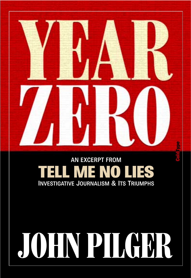## AN EXCERPT FROM **.L ME NO LIES** INVESTIGATIVE JOURNALISM & ITS TRIUMPHS

**ColdType** 

# JOHN PILGER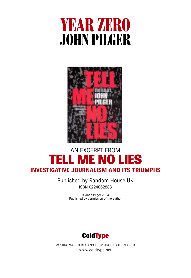## YEAR ZERO JOHN PILGER



### AN EXCERPT FROM TELL ME NO LIES **INVESTIGATIVE JOURNALISM AND ITS TRIUMPHS**

#### Published by Random House UK ISBN 0224062883

© John Pilger 2004 Published by permission of the author



WRITING WORTH READING FROM AROUND THE WORLD www.coldtype.net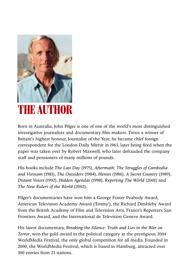

Born in Australia, John Pilger is one of one of the world's most distinguished investigative journalists and documentary film-makers. Twice a winner of Britain's highest honour, Journalist of the Year, he became chief foreign correspondent for the London Daily Mirror in 1963, later being fired when the paper was taken over by Robert Maxwell, who later defrauded the company staff and pensioners of many millions of pounds.

His books include *The Last Day* (1975), *Aftermath: The Struggles of Cambodia and Vietnam* (1981), *The Outsiders* (1984), *Heroes* (1986), *A Secret Country* (1989), *Distant Voices* (1992), *Hidden Agendas* (1998), *Reporting The World* (2001) and *The New Rulers of the World* (2002).

Pilger's documentaries have won him a George Foster Peabody Award, American Television Academy Award ('Emmy'), the Richard Dimbleby Award from the British Academy of Film and Television Arts, France's Reporters San Frontiers Award, and the International de Television Geneve Award.

His latest documentary, *Breaking the Silence: Truth and Lies in the War on Terror*, won the gold award in the political category at the prestigious 2004 WorldMedia Festival, the only global competition for all media. Founded in 2000, the WorldMedia Festival, which is based in Hamburg, attracted over 300 entries from 23 nations.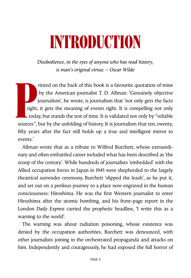## INTRODUCTION

*Disobedience, in the eyes of anyone who has read history, is man's original virtue. – Oscar Wilde*

rinted on the back of this book is a favourite quotation of mine by the American journalist T. D. Allman: 'Genuinely objective journalism', he wrote, is journalism that 'not only gets the facts right, it gets the meaning of events right. It is compelling not only  $\Box$  today, but stands the test of time. It is validated not only by "reliable sources", but by the unfolding of history. It is journalism that ten, twenty, fifty years after the fact still holds up a true and intelligent mirror to events.'

Allman wrote that as a tribute to Wilfred Burchett, whose extraordinary and often embattled career included what has been described as 'the scoop of the century'. While hundreds of journalists 'embedded' with the Allied occupation forces in Japan in 1945 were shepherded to the largely theatrical surrender ceremony, Burchett 'slipped the leash', as he put it, and set out on a perilous journey to a place now engraved in the human consciousness: Hiroshima. He was the first Western journalist to enter Hiroshima after the atomic bombing, and his front-page report in the London *Daily Express* carried the prophetic headline, 'I write this as a warning to the world'.

The warning was about radiation poisoning, whose existence was denied by the occupation authorities. Burchett was denounced, with other journalists joining in the orchestrated propaganda and attacks on him. Independently and courageously, he had exposed the full horror of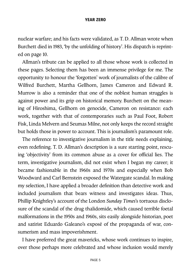nuclear warfare; and his facts were validated, as T. D. Allman wrote when Burchett died in 1983, 'by the unfolding of history'. His dispatch is reprinted on page 10.

Allman's tribute can be applied to all those whose work is collected in these pages. Selecting them has been an immense privilege for me. The opportunity to honour the 'forgotten' work of journalists of the calibre of Wilfred Burchett, Martha Gellhorn, James Cameron and Edward R. Murrow is also a reminder that one of the noblest human struggles is against power and its grip on historical memory. Burchett on the meaning of Hiroshima, Gellhorn on genocide, Cameron on resistance: each work, together with that of contemporaries such as Paul Foot, Robert Fisk, Linda Melvern and Seumas Milne, not only keeps the record straight but holds those in power to account. This is journalism's paramount role.

The reference to investigative journalism in the title needs explaining, even redefining. T. D. Allman's description is a sure starting point, rescuing 'objectivity' from its common abuse as a cover for official lies. The term, investigative journalism, did not exist when I began my career; it became fashionable in the 1960s and 1970s and especially when Bob Woodward and Carl Bernstein exposed the Watergate scandal. In making my selection, I have applied a broader definition than detective work and included journalism that bears witness and investigates ideas. Thus, Phillip Knightley's account of the London *Sunday Times*'s tortuous disclosure of the scandal of the drug thalidomide, which caused terrible foetal malformations in the 1950s and 1960s, sits easily alongside historian, poet and satirist Eduardo Galeano's exposé of the propaganda of war, consumerism and mass impoverishment.

I have preferred the great mavericks, whose work continues to inspire, over those perhaps more celebrated and whose inclusion would merely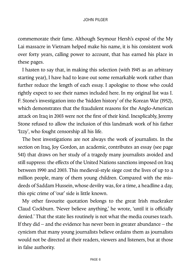commemorate their fame. Although Seymour Hersh's exposé of the My Lai massacre in Vietnam helped make his name, it is his consistent work over forty years, calling power to account, that has earned his place in these pages.

I hasten to say that, in making this selection (with 1945 as an arbitrary starting year), I have had to leave out some remarkable work rather than further reduce the length of each essay. I apologise to those who could rightly expect to see their names included here. In my original list was I. F. Stone's investigation into the 'hidden history' of the Korean War (1952), which demonstrates that the fraudulent reasons for the Anglo-American attack on Iraq in 2003 were not the first of their kind. Inexplicably, Jeremy Stone refused to allow the inclusion of this landmark work of his father 'Izzy', who fought censorship all his life.

The best investigations are not always the work of journalists. In the section on Iraq, Joy Gordon, an academic, contributes an essay (see page 541) that draws on her study of a tragedy many journalists avoided and still suppress: the effects of the United Nations sanctions imposed on Iraq between 1990 and 2003. This medieval-style siege cost the lives of up to a million people, many of them young children. Compared with the misdeeds of Saddam Hussein, whose devilry was, for a time, a headline a day, this epic crime of 'our' side is little known.

My other favourite quotation belongs to the great Irish muckraker Claud Cockburn. 'Never believe anything,' he wrote, 'until it is officially denied.' That the state lies routinely is not what the media courses teach. If they did – and the evidence has never been in greater abundance – the cynicism that many young journalists believe ordains them as journalists would not be directed at their readers, viewers and listeners, but at those in false authority.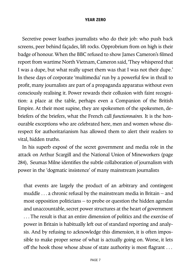Secretive power loathes journalists who do their job: who push back screens, peer behind façades, lift rocks. Opprobrium from on high is their badge of honour. When the BBC refused to show James Cameron's filmed report from wartime North Vietnam,Cameron said,'They whispered that I was a dupe, but what really upset them was that I was not their dupe.' In these days of corporate 'multimedia' run by a powerful few in thrall to profit, many journalists are part of a propaganda apparatus without even consciously realising it. Power rewards their collusion with faint recognition: a place at the table, perhaps even a Companion of the British Empire. At their most supine, they are spokesmen of the spokesmen, debriefers of the briefers, what the French call *functionnaires.* It is the honourable exceptions who are celebrated here, men and women whose disrespect for authoritarianism has allowed them to alert their readers to vital, hidden truths.

In his superb exposé of the secret government and media role in the attack on Arthur Scargill and the National Union of Mineworkers (page 284), Seumas Milne identifies the subtle collaboration of journalism with power in the 'dogmatic insistence' of many mainstream journalists

that events are largely the product of an arbitrary and contingent muddle . . . a chronic refusal by the mainstream media in Britain – and most opposition politicians – to probe or question the hidden agendas and unaccountable, secret power structures at the heart of government . . . The result is that an entire dimension of politics and the exercise of power in Britain is habitually left out of standard reporting and analysis. And by refusing to acknowledge this dimension, it is often impossible to make proper sense of what is actually going on. Worse, it lets off the hook those whose abuse of state authority is most flagrant . . .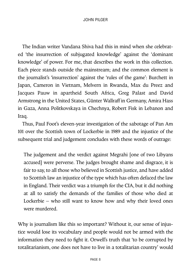The Indian writer Vandana Shiva had this in mind when she celebrated 'the insurrection of subjugated knowledge' against the 'dominant knowledge' of power. For me, that describes the work in this collection. Each piece stands outside the mainstream; and the common element is the journalist's 'insurrection' against the 'rules of the game': Burchett in Japan, Cameron in Vietnam, Melvern in Rwanda, Max du Preez and Jacques Pauw in apartheid South Africa, Greg Palast and David Armstrong in the United States, Günter Wallraff in Germany, Amira Hass in Gaza, Anna Politkovskaya in Chechnya, Robert Fisk in Lebanon and Iraq.

Thus, Paul Foot's eleven-year investigation of the sabotage of Pan Am 101 over the Scottish town of Lockerbie in 1989 and the injustice of the subsequent trial and judgement concludes with these words of outrage:

The judgement and the verdict against Megrahi [one of two Libyans accused] were perverse. The judges brought shame and disgrace, it is fair to say, to all those who believed in Scottish justice, and have added to Scottish law an injustice of the type which has often defaced the law in England. Their verdict was a triumph for the CIA, but it did nothing at all to satisfy the demands of the families of those who died at Lockerbie – who still want to know how and why their loved ones were murdered.

Why is journalism like this so important? Without it, our sense of injustice would lose its vocabulary and people would not be armed with the information they need to fight it. Orwell's truth that 'to be corrupted by totalitarianism, one does not have to live in a totalitarian country' would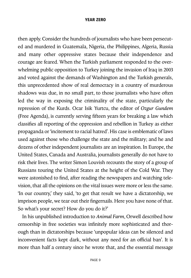then apply. Consider the hundreds of journalists who have been persecuted and murdered in Guatemala, Nigeria, the Philippines, Algeria, Russia and many other oppressive states because their independence and courage are feared. When the Turkish parliament responded to the overwhelming public opposition to Turkey joining the invasion of Iraq in 2003 and voted against the demands of Washington and the Turkish generals, this unprecedented show of real democracy in a country of murderous shadows was due, in no small part, to those journalists who have often led the way in exposing the criminality of the state, particularly the repression of the Kurds. Ocar Isik Yurtcu, the editor of *Ozgur Gundem* (Free Agenda), is currently serving fifteen years for breaking a law which classifies all reporting of the oppression and rebellion in Turkey as either propaganda or 'incitement to racial hatred'.His case is emblematic of laws used against those who challenge the state and the military; and he and dozens of other independent journalists are an inspiration. In Europe, the United States, Canada and Australia, journalists generally do not have to risk their lives. The writer Simon Louvish recounts the story of a group of Russians touring the United States at the height of the Cold War. They were astonished to find, after reading the newspapers and watching television, that all the opinions on the vital issues were more or less the same. 'In our country,' they said, 'to get that result we have a dictatorship, we imprison people, we tear out their fingernails. Here you have none of that. So what's your secret? How do you do it?'

In his unpublished introduction to *Animal Farm*, Orwell described how censorship in free societies was infinitely more sophisticated and thorough than in dictatorships because 'unpopular ideas can be silenced and inconvenient facts kept dark, without any need for an official ban'. It is more than half a century since he wrote that, and the essential message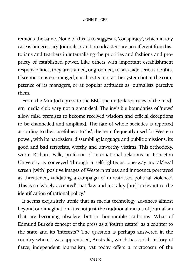remains the same. None of this is to suggest a 'conspiracy', which in any case is unnecessary.Journalists and broadcasters are no different from historians and teachers in internalising the priorities and fashions and propriety of established power. Like others with important establishment responsibilities, they are trained, or groomed, to set aside serious doubts. If scepticism is encouraged, it is directed not at the system but at the competence of its managers, or at popular attitudes as journalists perceive them.

From the Murdoch press to the BBC, the undeclared rules of the modern media club vary not a great deal. The invisible boundaries of 'news' allow false premises to become received wisdom and official deceptions to be channelled and amplified. The fate of whole societies is reported according to their usefulness to 'us', the term frequently used for Western power, with its narcissism, dissembling language and public omissions: its good and bad terrorists, worthy and unworthy victims. This orthodoxy, wrote Richard Falk, professor of international relations at Princeton University, is conveyed 'through a self-righteous, one-way moral/legal screen [with] positive images of Western values and innocence portrayed as threatened, validating a campaign of unrestricted political violence'. This is so 'widely accepted' that 'law and morality [are] irrelevant to the identification of rational policy.'

It seems exquisitely ironic that as media technology advances almost beyond our imagination, it is not just the traditional means of journalism that are becoming obsolete, but its honourable traditions. What of Edmund Burke's concept of the press as a 'fourth estate', as a counter to the state and its 'interests'? The question is perhaps answered in the country where I was apprenticed, Australia, which has a rich history of fierce, independent journalism, yet today offers a microcosm of the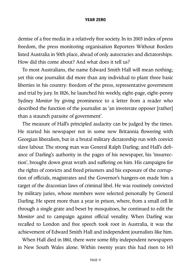demise of a free media in a relatively free society. In its 2003 index of press freedom, the press monitoring organisation Reporters Without Borders listed Australia in 50th place, ahead of only autocracies and dictatorships. How did this come about? And what does it tell us?

To most Australians, the name Edward Smith Hall will mean nothing; yet this one journalist did more than any individual to plant three basic liberties in his country: freedom of the press, representative government and trial by jury. In 1826, he launched his weekly, eight-page, eight-penny Sydney *Monitor* by giving prominence to a letter from a reader who described the function of the journalist as 'an inveterate opposer [rather] than a staunch parasite of government'.

The measure of Hall's principled audacity can be judged by the times. He started his newspaper not in some new Britannia flowering with Georgian liberalism, but in a brutal military dictatorship run with convict slave labour. The strong man was General Ralph Darling; and Hall's defiance of Darling's authority in the pages of his newspaper, his 'insurrection', brought down great wrath and suffering on him. His campaigns for the rights of convicts and freed prisoners and his exposure of the corruption of officials, magistrates and the Governor's hangers-on made him a target of the draconian laws of criminal libel. He was routinely convicted by military juries, whose members were selected personally by General Darling. He spent more than a year in prison, where, from a small cell lit through a single grate and beset by mosquitoes, he continued to edit the *Monitor* and to campaign against official venality. When Darling was recalled to London and free speech took root in Australia, it was the achievement of Edward Smith Hall and independent journalists like him.

When Hall died in 1861, there were some fifty independent newspapers in New South Wales alone. Within twenty years this had risen to 143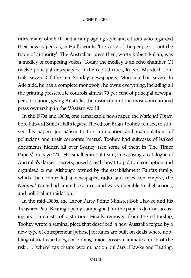titles, many of which had a campaigning style and editors who regarded their newspapers as, in Hall's words, 'the voice of the people . . . not the trade of authority'. The Australian press then, wrote Robert Pullan, was 'a medley of competing voices'. Today, the medley is an echo chamber. Of twelve principal newspapers in the capital cities, Rupert Murdoch controls seven. Of the ten Sunday newspapers, Murdoch has seven. In Adelaide, he has a complete monopoly; he owns everything, including all the printing presses. He controls almost 70 per cent of principal newspaper circulation, giving Australia the distinction of the most concentrated press ownership in the Western world.

In the 1970s and 1980s, one remarkable newspaper, the *National Times,* bore Edward Smith Hall's legacy. The editor, Brian Toohey, refused to subvert his paper's journalism to the intimidation and manipulations of politicians and their corporate 'mates'. Toohey had suitcases of leaked documents hidden all over Sydney (see some of them in 'The Timor Papers' on page 174). His small editorial team, in exposing a catalogue of Australia's darkest secrets, posed a real threat to political corruption and organised crime. Although owned by the establishment Fairfax family, which then controlled a newspaper, radio and television empire, the *National Times* had limited resources and was vulnerable to libel actions, and political intimidation.

In the mid-1980s, the Labor Party Prime Minister Bob Hawke and his Treasurer Paul Keating openly campaigned for the paper's demise, accusing its journalists of distortion. Finally removed from the editorship, Toohey wrote a seminal piece that described 'a new Australia forged by a new type of entrepreneur [whose] fortunes are built on deals where nobbling official watchdogs or bribing union bosses eliminates much of the risk . . . [where] tax cheats become nation builders'. Hawke and Keating,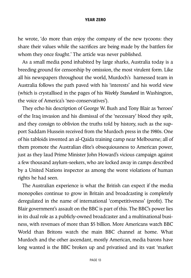he wrote, 'do more than enjoy the company of the new tycoons: they share their values while the sacrifices are being made by the battlers for whom they once fought.' The article was never published.

As a small media pond inhabited by large sharks, Australia today is a breeding ground for censorship by omission, the most virulent form. Like all his newspapers throughout the world, Murdoch's harnessed team in Australia follows the path paved with his 'interests' and his world view (which is crystallised in the pages of his *Weekly Standard* in Washington, the voice of America's 'neo-conservatives').

They echo his description of George W. Bush and Tony Blair as 'heroes' of the Iraq invasion and his dismissal of the 'necessary' blood they spilt, and they consign to oblivion the truths told by history, such as the support Saddam Hussein received from the Murdoch press in the 1980s. One of his tabloids invented an al-Qaida training camp near Melbourne; all of them promote the Australian élite's obsequiousness to American power, just as they laud Prime Minister John Howard's vicious campaign against a few thousand asylum-seekers, who are locked away in camps described by a United Nations inspector as among the worst violations of human rights he had seen.

The Australian experience is what the British can expect if the media monopolies continue to grow in Britain and broadcasting is completely deregulated in the name of international 'competitiveness' (profit). The Blair government's assault on the BBC is part of this. The BBC's power lies in its dual role as a publicly-owned broadcaster and a multinational business, with revenues of more than \$5 billion. More Americans watch BBC World than Britons watch the main BBC channel at home. What Murdoch and the other ascendant, mostly American, media barons have long wanted is the BBC broken up and privatised and its vast 'market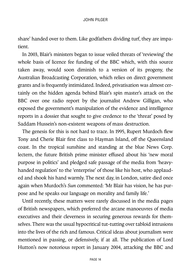share' handed over to them. Like godfathers dividing turf, they are impatient.

In 2003, Blair's ministers began to issue veiled threats of 'reviewing' the whole basis of licence fee funding of the BBC which, with this source taken away, would soon diminish to a version of its progeny, the Australian Broadcasting Corporation, which relies on direct government grants and is frequently intimidated.Indeed,privatisation was almost certainly on the hidden agenda behind Blair's spin master's attack on the BBC over one radio report by the journalist Andrew Gilligan, who exposed the government's manipulation of the evidence and intelligence reports in a dossier that sought to give credence to the 'threat' posed by Saddam Hussein's non-existent weapons of mass destruction.

The genesis for this is not hard to trace. In 1995, Rupert Murdoch flew Tony and Cherie Blair first class to Hayman Island, off the Queensland coast. In the tropical sunshine and standing at the blue News Corp. lectern, the future British prime minister effused about his 'new moral purpose in politics' and pledged safe passage of the media from 'heavyhanded regulation' to the 'enterprise' of those like his host, who applauded and shook his hand warmly. The next day, in London, satire died once again when Murdoch's *Sun* commented: 'Mr Blair has vision, he has purpose and he speaks our language on morality and family life.'

Until recently, these matters were rarely discussed in the media pages of British newspapers, which preferred the arcane manoeuvres of media executives and their cleverness in securing generous rewards for themselves.There was the usual hypocritical tut-tutting over tabloid intrusions into the lives of the rich and famous. Critical ideas about journalism were mentioned in passing, or defensively, if at all. The publication of Lord Hutton's now notorious report in January 2004, attacking the BBC and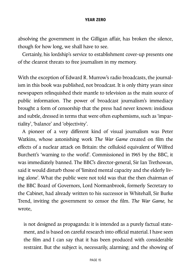absolving the government in the Gilligan affair, has broken the silence, though for how long, we shall have to see.

Certainly, his lordship's service to establishment cover-up presents one of the clearest threats to free journalism in my memory.

With the exception of Edward R. Murrow's radio broadcasts, the journalism in this book was published, not broadcast. It is only thirty years since newspapers relinquished their mantle to television as the main source of public information. The power of broadcast journalism's immediacy brought a form of censorship that the press had never known: insidious and subtle, dressed in terms that were often euphemisms, such as 'impartiality', 'balance' and 'objectivity'.

A pioneer of a very different kind of visual journalism was Peter Watkins, whose astonishing work *The War Game* created on film the effects of a nuclear attack on Britain: the celluloid equivalent of Wilfred Burchett's 'warning to the world'. Commissioned in 1965 by the BBC, it was immediately banned. The BBC's director-general, Sir Ian Trethowan, said it would disturb those of 'limited mental capacity and the elderly living alone'. What the public were not told was that the then chairman of the BBC Board of Governors, Lord Normanbrook, formerly Secretary to the Cabinet, had already written to his successor in Whitehall, Sir Burke Trend, inviting the government to censor the film. *The War Game,* he wrote,

is not designed as propaganda: it is intended as a purely factual statement, and is based on careful research into official material. I have seen the film and I can say that it has been produced with considerable restraint. But the subject is, necessarily, alarming; and the showing of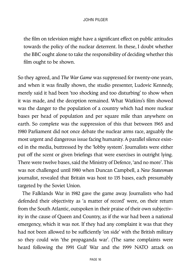the film on television might have a significant effect on public attitudes towards the policy of the nuclear deterrent. In these, I doubt whether the BBC ought alone to take the responsibility of deciding whether this film ought to be shown.

So they agreed, and *The War Game* was suppressed for twenty-one years, and when it was finally shown, the studio presenter, Ludovic Kennedy, merely said it had been 'too shocking and too disturbing' to show when it was made, and the deception remained. What Watkins's film showed was the danger to the population of a country which had more nuclear bases per head of population and per square mile than anywhere on earth. So complete was the suppression of this that between 1965 and 1980 Parliament did not once debate the nuclear arms race, arguably the most urgent and dangerous issue facing humanity. A parallel silence existed in the media, buttressed by the 'lobby system'. Journalists were either put off the scent or given briefings that were exercises in outright lying. There were twelve bases, said the Ministry of Defence, 'and no more'. This was not challenged until 1980 when Duncan Campbell, a *New Statesman* journalist, revealed that Britain was host to 135 bases, each presumably targeted by the Soviet Union.

The Falklands War in 1982 gave the game away. Journalists who had defended their objectivity as 'a matter of record' were, on their return from the South Atlantic, outspoken in their praise of their own subjectivity in the cause of Queen and Country, as if the war had been a national emergency, which it was not. If they had any complaint it was that they had not been allowed to be sufficiently 'on side' with the British military so they could win 'the propaganda war'. (The same complaints were heard following the 1991 Gulf War and the 1999 NATO attack on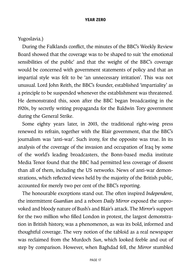Yugoslavia.)

During the Falklands conflict, the minutes of the BBC's Weekly Review Board showed that the coverage was to be shaped to suit 'the emotional sensibilities of the public' and that the weight of the BBC's coverage would be concerned with government statements of policy and that an impartial style was felt to be 'an unnecessary irritation'. This was not unusual. Lord John Reith, the BBC's founder, established 'impartiality' as a principle to be suspended whenever the establishment was threatened. He demonstrated this, soon after the BBC began broadcasting in the 1920s, by secretly writing propaganda for the Baldwin Tory government during the General Strike.

Some eighty years later, in 2003, the traditional right-wing press renewed its refrain, together with the Blair government, that the BBC's journalism was 'anti-war'. Such irony, for the opposite was true. In its analysis of the coverage of the invasion and occupation of Iraq by some of the world's leading broadcasters, the Bonn-based media institute Media Tenor found that the BBC had permitted less coverage of dissent than all of them, including the US networks. News of anti-war demonstrations, which reflected views held by the majority of the British public, accounted for merely two per cent of the BBC's reporting.

The honourable exceptions stand out. The often inspired *Independent*, the intermittent *Guardian* and a reborn *Daily Mirror* exposed the unprovoked and bloody nature of Bush's and Blair's attack.The *Mirror*'s support for the two million who filled London in protest, the largest demonstration in British history, was a phenomenon, as was its bold, informed and thoughtful coverage. The very notion of the tabloid as a real newspaper was reclaimed from the Murdoch *Sun*, which looked feeble and out of step by comparison. However, when Baghdad fell, the *Mirror* stumbled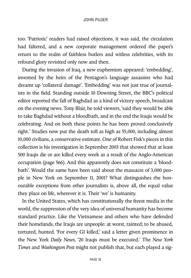too. 'Patriotic' readers had raised objections, it was said, the circulation had faltered, and a new corporate management ordered the paper's return to the realm of faithless butlers and witless celebrities, with its refound glory revisited only now and then.

During the invasion of Iraq, a new euphemism appeared: 'embedding', invented by the heirs of the Pentagon's language assassins who had dreamt up 'collateral damage'. 'Embedding' was not just true of journalists in the field. Standing outside 10 Downing Street, the BBC's political editor reported the fall of Baghdad as a kind of victory speech, broadcast on the evening news. Tony Blair, he told viewers, 'said they would be able to take Baghdad without a bloodbath, and in the end the Iraqis would be celebrating. And on both these points he has been proved conclusively right.' Studies now put the death toll as high as 55,000, including almost 10,000 civilians, a conservative estimate. One of Robert Fisk's pieces in this collection is his investigation in September 2003 that showed that at least 500 Iraqis die or are killed every week as a result of the Anglo-American occupation (page 566). And this apparently does not constitute a 'bloodbath'. Would the same have been said about the massacre of 3,000 people in New York on September 11, 2001? What distinguishes the honourable exceptions from other journalists is, above all, the equal value they place on life, wherever it is. Their 'we' is humanity.

In the United States, which has constitutionally the freest media in the world, the suppression of the very idea of universal humanity has become standard practice. Like the Vietnamese and others who have defended their homelands, the Iraqis are unpeople: at worst, tainted; to be abused, tortured, hunted. 'For every GI killed,' said a letter given prominence in the New York *Daily News*, '20 Iraqis must be executed.' The *New York Times* and *Washington Post* might not publish that, but each played a sig-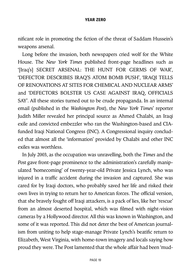nificant role in promoting the fiction of the threat of Saddam Hussein's weapons arsenal.

Long before the invasion, both newspapers cried wolf for the White House. The *New York Times* published front-page headlines such as '[Iraq's] SECRET ARSENAL: THE HUNT FOR GERMS OF WAR', 'DEFECTOR DESCRIBES IRAQ'S ATOM BOMB PUSH', 'IRAQI TELLS OF RENOVATIONS AT SITES FOR CHEMICAL AND NUCLEAR ARMS' and 'DEFECTORS BOLSTER US CASE AGAINST IRAQ, OFFICIALS SAY'. All these stories turned out to be crude propaganda. In an internal email (published in the *Washington Post*), the *New York Time*s' reporter Judith Miller revealed her principal source as Ahmed Chalabi, an Iraqi exile and convicted embezzler who ran the Washington-based and CIAfunded Iraqi National Congress (INC). A Congressional inquiry concluded that almost all the 'information' provided by Chalabi and other INC exiles was worthless.

In July 2003, as the occupation was unravelling, both the *Times* and the *Post* gave front-page prominence to the administration's carefully manipulated 'homecoming' of twenty-year-old Private Jessica Lynch, who was injured in a traffic accident during the invasion and captured. She was cared for by Iraqi doctors, who probably saved her life and risked their own lives in trying to return her to American forces. The official version, that she bravely fought off Iraqi attackers, is a pack of lies, like her 'rescue' from an almost deserted hospital, which was filmed with night-vision cameras by a Hollywood director. All this was known in Washington, and some of it was reported. This did not deter the best of American journalism from uniting to help stage-manage Private Lynch's beatific return to Elizabeth, West Virginia, with home-town imagery and locals saying how proud they were.The Post lamented that the whole affair had been 'mud-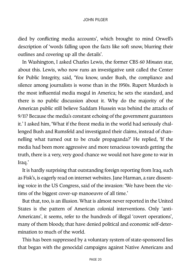died by conflicting media accounts', which brought to mind Orwell's description of 'words falling upon the facts like soft snow, blurring their outlines and covering up all the details'.

In Washington, I asked Charles Lewis, the former CBS *60 Minutes* star, about this. Lewis, who now runs an investigative unit called the Center for Public Integrity, said, 'You know, under Bush, the compliance and silence among journalists is worse than in the 1950s. Rupert Murdoch is the most influential media mogul in America; he sets the standard, and there is no public discussion about it. Why do the majority of the American public still believe Saddam Hussein was behind the attacks of 9/11? Because the media's constant echoing of the government guarantees it.' I asked him, 'What if the freest media in the world had seriously challenged Bush and Rumsfeld and investigated their claims, instead of channelling what turned out to be crude propaganda?' He replied, 'If the media had been more aggressive and more tenacious towards getting the truth, there is a very, very good chance we would not have gone to war in Iraq.'

It is hardly surprising that outstanding foreign reporting from Iraq, such as Fisk's, is eagerly read on internet websites. Jane Harman, a rare dissenting voice in the US Congress, said of the invasion: 'We have been the victims of the biggest cover-up manoeuvre of all time.'

But that, too, is an illusion. What is almost never reported in the United States is the pattern of American colonial interventions. Only 'anti-Americans', it seems, refer to the hundreds of illegal 'covert operations', many of them bloody, that have denied political and economic self-determination to much of the world.

This has been suppressed by a voluntary system of state-sponsored lies that began with the genocidal campaigns against Native Americans and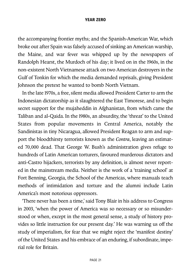the accompanying frontier myths; and the Spanish-American War, which broke out after Spain was falsely accused of sinking an American warship, the Maine, and war fever was whipped up by the newspapers of Randolph Hearst, the Murdoch of his day; it lived on in the 1960s, in the non-existent North Vietnamese attack on two American destroyers in the Gulf of Tonkin for which the media demanded reprisals, giving President Johnson the pretext he wanted to bomb North Vietnam.

In the late 1970s, a free, silent media allowed President Carter to arm the Indonesian dictatorship as it slaughtered the East Timorese, and to begin secret support for the mujaheddin in Afghanistan, from which came the Taliban and al-Qaida. In the 1980s, an absurdity, the 'threat' to the United States from popular movements in Central America, notably the Sandinistas in tiny Nicaragua, allowed President Reagan to arm and support the bloodthirsty terrorists known as the *Contra*, leaving an estimated 70,000 dead. That George W. Bush's administration gives refuge to hundreds of Latin American torturers, favoured murderous dictators and anti-Castro hijackers, terrorists by any definition, is almost never reported in the mainstream media. Neither is the work of a 'training school' at Fort Benning, Georgia, the School of the Americas, where manuals teach methods of intimidation and torture and the alumni include Latin America's most notorious oppressors.

'There never has been a time,' said Tony Blair in his address to Congress in 2003, 'when the power of America was so necessary or so misunderstood or when, except in the most general sense, a study of history provides so little instruction for our present day.' He was warning us off the study of imperialism, for fear that we might reject the 'manifest destiny' of the United States and his embrace of an enduring, if subordinate, imperial role for Britain.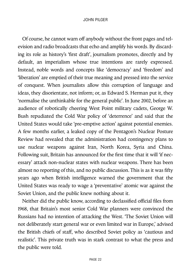Of course, he cannot warn off anybody without the front pages and television and radio broadcasts that echo and amplify his words. By discarding its role as history's 'first draft', journalism promotes, directly and by default, an imperialism whose true intentions are rarely expressed. Instead, noble words and concepts like 'democracy' and 'freedom' and 'liberation' are emptied of their true meaning and pressed into the service of conquest. When journalists allow this corruption of language and ideas, they disorientate, not inform; or, as Edward S. Herman put it, they 'normalise the unthinkable for the general public'. In June 2002, before an audience of robotically cheering West Point military cadets, George W. Bush repudiated the Cold War policy of 'deterrence' and said that the United States would take 'pre-emptive action' against potential enemies. A few months earlier, a leaked copy of the Pentagon's Nuclear Posture Review had revealed that the administration had contingency plans to use nuclear weapons against Iran, North Korea, Syria and China. Following suit, Britain has announced for the first time that it will 'if necessary' attack non-nuclear states with nuclear weapons. There has been almost no reporting of this, and no public discussion. This is as it was fifty years ago when British intelligence warned the government that the United States was ready to wage a 'preventative' atomic war against the Soviet Union, and the public knew nothing about it.

Neither did the public know, according to declassified official files from 1968, that Britain's most senior Cold War planners were convinced the Russians had no intention of attacking the West. 'The Soviet Union will not deliberately start general war or even limited war in Europe,' advised the British chiefs of staff, who described Soviet policy as 'cautious and realistic'. This private truth was in stark contrast to what the press and the public were told.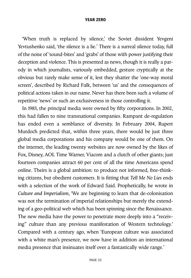'When truth is replaced by silence,' the Soviet dissident Yevgeni Yevtushenko said, 'the silence is a lie.' There is a surreal silence today, full of the noise of 'sound-bites' and 'grabs' of those with power justifying their deception and violence. This is presented as news, though it is really a parody in which journalists, variously embedded, gesture cryptically at the obvious but rarely make sense of it, lest they shatter the 'one-way moral screen', described by Richard Falk, between 'us' and the consequences of political actions taken in our name. Never has there been such a volume of repetitive 'news' or such an exclusiveness in those controlling it.

In 1983, the principal media were owned by fifty corporations. In 2002, this had fallen to nine transnational companies. Rampant de-regulation has ended even a semblance of diversity. In February 2004, Rupert Murdoch predicted that, within three years, there would be just three global media corporations and his company would be one of them. On the internet, the leading twenty websites are now owned by the likes of Fox, Disney, AOL Time Warner, Viacom and a clutch of other giants; just fourteen companies attract 60 per cent of all the time Americans spend online. Theirs is a global ambition: to produce not informed, free-thinking citizens, but obedient customers. It is fitting that *Tell Me No Lies* ends with a selection of the work of Edward Said. Prophetically, he wrote in *Culture and Imperialism*, 'We are beginning to learn that de-colonisation was not the termination of imperial relationships but merely the extending of a geo-political web which has been spinning since the Renaissance. The new media have the power to penetrate more deeply into a "receiving" culture than any previous manifestation of Western technology.' Compared with a century ago, when 'European culture was associated with a white man's presence, we now have in addition an international media presence that insinuates itself over a fantastically wide range.'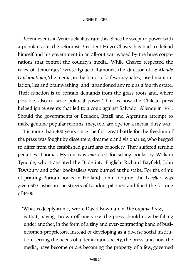Recent events in Venezuela illustrate this. Since he swept to power with a popular vote, the reformist President Hugo Chavez has had to defend himself and his government in an all-out war waged by the huge corporations that control the country's media. 'While Chavez respected the rules of democracy,' wrote Ignacio Ramonet, the director of *Le Monde Diplomatique*, 'the media, in the hands of a few magnates, used manipulation, lies and brainwashing [and] abandoned any role as a fourth estate. Their function is to contain demands from the grass roots and, where possible, also to seize political power.' This is how the Chilean press helped ignite events that led to a coup against Salvador Allende in 1973. Should the governments of Ecuador, Brazil and Argentina attempt to make genuine popular reforms, they, too, are ripe for a media 'dirty war'.

It is more than 400 years since the first great battle for the freedom of the press was fought by dissenters, dreamers and visionaries, who begged to differ from the established guardians of society. They suffered terrible penalties. Thomas Hytton was executed for selling books by William Tyndale, who translated the Bible into English. Richard Bayfield, John Tewsbury and other booksellers were burned at the stake. For the crime of printing Puritan books in Holland, John Lilburne, the *Leveller*, was given 500 lashes in the streets of London, pilloried and fined the fortune of  $£500$ .

'What is deeply ironic,' wrote David Bowman in *The Captive Press*,

is that, having thrown off one yoke, the press should now be falling under another, in the form of a tiny and ever-contracting band of businessmen-proprietors. Instead of developing as a diverse social institution, serving the needs of a democratic society, the press, and now the media, have become or are becoming the property of a few, governed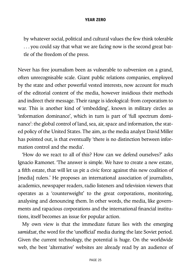by whatever social, political and cultural values the few think tolerable . . . you could say that what we are facing now is the second great battle of the freedom of the press.

Never has free journalism been as vulnerable to subversion on a grand, often unrecognisable scale. Giant public relations companies, employed by the state and other powerful vested interests, now account for much of the editorial content of the media, however insidious their methods and indirect their message. Their range is ideological: from corporatism to war. This is another kind of 'embedding', known in military circles as 'information dominance', which in turn is part of 'full spectrum dominance': the global control of land, sea, air, space and information, the stated policy of the United States. The aim, as the media analyst David Miller has pointed out, is that eventually 'there is no distinction between information control and the media'.

'How do we react to all of this? How can we defend ourselves?' asks Ignacio Ramonet. 'The answer is simple. We have to create a new estate, a fifth estate, that will let us pit a civic force against this new coalition of [media] rulers.' He proposes an international association of journalists, academics, newspaper readers, radio listeners and television viewers that operates as a 'counterweight' to the great corporations, monitoring, analysing and denouncing them. In other words, the media, like governments and rapacious corporations and the international financial institutions, itself becomes an issue for popular action.

My own view is that the immediate future lies with the emerging *samidzat*, the word for the 'unofficial' media during the late Soviet period. Given the current technology, the potential is huge. On the worldwide web, the best 'alternative' websites are already read by an audience of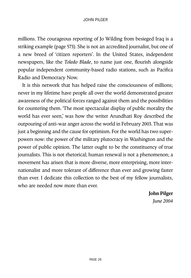millions. The courageous reporting of Jo Wilding from besieged Iraq is a striking example (page 573). She is not an accredited journalist, but one of a new breed of 'citizen reporters'. In the United States, independent newspapers, like the *Toledo Blade*, to name just one, flourish alongside popular independent community-based radio stations, such as Pacifica Radio and Democracy Now.

It is this network that has helped raise the consciousness of millions; never in my lifetime have people all over the world demonstrated greater awareness of the political forces ranged against them and the possibilities for countering them. 'The most spectacular display of public morality the world has ever seen,' was how the writer Arundhati Roy described the outpouring of anti-war anger across the world in February 2003. That was just a beginning and the cause for optimism. For the world has two superpowers now: the power of the military plutocracy in Washington and the power of public opinion. The latter ought to be the constituency of true journalists. This is not rhetorical; human renewal is not a phenomenon; a movement has arisen that is more diverse, more enterprising, more internationalist and more tolerant of difference than ever and growing faster than ever. I dedicate this collection to the best of my fellow journalists, who are needed now more than ever.

> **John Pilger** *June 2004*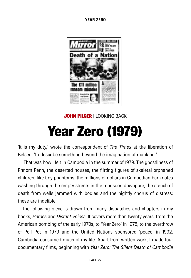

JOHN PILGER | LOOKING BACK

## Year Zero (1979)

'It is my duty,' wrote the correspondent of *The Times* at the liberation of Belsen, 'to describe something beyond the imagination of mankind.'

That was how I felt in Cambodia in the summer of 1979. The ghostliness of Phnom Penh, the deserted houses, the flitting figures of skeletal orphaned children, like tiny phantoms, the millions of dollars in Cambodian banknotes washing through the empty streets in the monsoon downpour, the stench of death from wells jammed with bodies and the nightly chorus of distress: these are indelible.

The following piece is drawn from many dispatches and chapters in my books, *Heroes* and *Distant Voices*. It covers more than twenty years: from the American bombing of the early 1970s, to 'Year Zero' in 1975, to the overthrow of Poll Pot in 1979 and the United Nations sponsored 'peace' in 1992. Cambodia consumed much of my life. Apart from written work, I made four documentary films, beginning with *Year Zero: The Silent Death of Cambodia*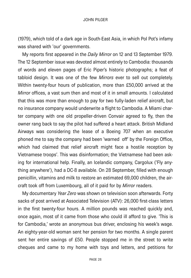(1979), which told of a dark age in South-East Asia, in which Pol Pot's infamy was shared with 'our' governments.

My reports first appeared in the *Daily Mirror* on 12 and 13 September 1979. The 12 September issue was devoted almost entirely to Cambodia: thousands of words and eleven pages of Eric Piper's historic photographs; a feat of tabloid design. It was one of the few *Mirrors* ever to sell out completely. Within twenty-four hours of publication, more than £50,000 arrived at the *Mirror* offices, a vast sum then and most of it in small amounts. I calculated that this was more than enough to pay for two fully-laden relief aircraft, but no insurance company would underwrite a flight to Cambodia. A Miami charter company with one old propeller-driven Convair agreed to fly, then the owner rang back to say the pilot had suffered a heart attack. British Midland Airways was considering the lease of a Boeing 707 when an executive phoned me to say the company had been 'warned off' by the Foreign Office, which had claimed that relief aircraft might face a hostile reception by Vietnamese troops'. This was disinformation; the Vietnamese had been asking for international help. Finally, an Icelandic company, Cargolux ('Fly anything anywhere'), had a DC-8 available. On 28 September, filled with enough penicillin, vitamins and milk to restore an estimated 69,000 children, the aircraft took off from Luxembourg, all of it paid for by *Mirror* readers.

My documentary *Year Zero* was shown on television soon afterwards. Forty sacks of post arrived at Associated Television (ATV): 26,000 first-class letters in the first twenty-four hours. A million pounds was reached quickly and, once again, most of it came from those who could ill afford to give. 'This is for Cambodia,' wrote an anonymous bus driver, enclosing his week's wage. An eighty-year-old woman sent her pension for two months. A single parent sent her entire savings of £50. People stopped me in the street to write cheques and came to my home with toys and letters, and petitions for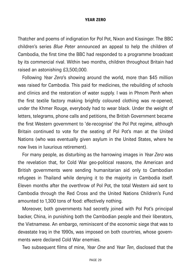Thatcher and poems of indignation for Pol Pot, Nixon and Kissinger. The BBC children's series *Blue Peter* announced an appeal to help the children of Cambodia, the first time the BBC had responded to a programme broadcast by its commercial rival. Within two months, children throughout Britain had raised an astonishing £3,500,000.

Following *Year Zero*'s showing around the world, more than \$45 million was raised for Cambodia. This paid for medicines, the rebuilding of schools and clinics and the restoration of water supply. I was in Phnom Penh when the first textile factory making brightly coloured clothing was re-opened; under the Khmer Rouge, everybody had to wear black. Under the weight of letters, telegrams, phone calls and petitions, the British Government became the first Western government to 'de-recognise' the Pol Pot regime, although Britain continued to vote for the seating of Pol Pot's man at the United Nations (who was eventually given asylum in the United States, where he now lives in luxurious retirement).

For many people, as disturbing as the harrowing images in *Year Zero* was the revelation that, for Cold War geo-political reasons, the American and British governments were sending humanitarian aid only to Cambodian refugees in Thailand while denying it to the majority in Cambodia itself. Eleven months after the overthrow of Pol Pot, the total Western aid sent to Cambodia through the Red Cross and the United Nations Children's Fund amounted to 1,300 tons of food: effectively nothing.

Moreover, both governments had secretly joined with Pol Pot's principal backer, China, in punishing both the Cambodian people and their liberators, the Vietnamese. An embargo, reminiscent of the economic siege that was to devastate Iraq in the 1990s, was imposed on both countries, whose governments were declared Cold War enemies.

Two subsequent films of mine, *Year One* and *Year Ten*, disclosed that the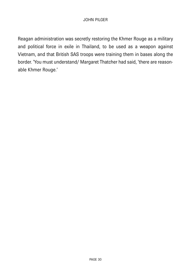Reagan administration was secretly restoring the Khmer Rouge as a military and political force in exile in Thailand, to be used as a weapon against Vietnam, and that British SAS troops were training them in bases along the border. 'You must understand/ Margaret Thatcher had said, 'there are reasonable Khmer Rouge.'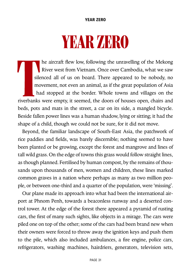he aircraft flew low, following the unravelling of the Mekong River west from Vietnam. Once over Cambodia, what we saw silenced all of us on board. There appeared to be nobody, no movement, not even an animal, as if the great population of Asia had stopped at the border. Whole towns and villages on the riverbanks were empty, it seemed, the doors of houses open, chairs and beds, pots and mats in the street, a car on its side, a mangled bicycle. Beside fallen power lines was a human shadow, lying or sitting; it had the shape of a child, though we could not be sure, for it did not move.

Beyond, the familiar landscape of South-East Asia, the patchwork of rice paddies and fields, was barely discernible; nothing seemed to have been planted or be growing, except the forest and mangrove and lines of tall wild grass.On the edge of towns this grass would follow straight lines, as though planned. Fertilised by human compost, by the remains of thousands upon thousands of men, women and children, these lines marked common graves in a nation where perhaps as many as two million people, or between one-third and a quarter of the population, were 'missing'.

Our plane made its approach into what had been the international airport at Phnom Penh, towards a beaconless runway and a deserted control tower. At the edge of the forest there appeared a pyramid of rusting cars, the first of many such sights, like objects in a mirage. The cars were piled one on top of the other; some of the cars had been brand new when their owners were forced to throw away the ignition keys and push them to the pile, which also included ambulances, a fire engine, police cars, refrigerators, washing machines, hairdriers, generators, television sets,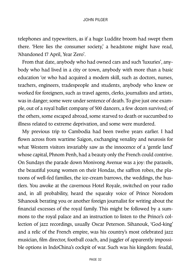telephones and typewriters, as if a huge Luddite broom had swept them there. 'Here lies the consumer society,' a headstone might have read, 'Abandoned 17 April, Year Zero'.

From that date, anybody who had owned cars and such 'luxuries', anybody who had lived in a city or town, anybody with more than a basic education 'or who had acquired a modem skill, such as doctors, nurses, teachers, engineers, tradespeople and students, anybody who knew or worked for foreigners, such as travel agents, clerks, journalists and artists, was in danger; some were under sentence of death.To give just one example, out of a royal ballet company of 500 dancers, a few dozen survived; of the others, some escaped abroad, some starved to death or succumbed to illness related to extreme deprivation, and some were murdered.

My previous trip to Cambodia had been twelve years earlier. I had flown across from wartime Saigon, exchanging venality and neurosis for what Western visitors invariably saw as the innocence of a 'gentle land' whose capital, Phnom Penh, had a beauty only the French could contrive. On Sundays the parade down Monivong Avenue was a joy: the parasols, the beautiful young women on their Hondas, the saffron robes, the platoons of well-fed families, the ice-cream barrows, the weddings, the hustlers. You awoke at the cavernous Hotel Royale, switched on your radio and, in all probability, heard the squeaky voice of Prince Norodom Sihanouk berating you or another foreign journalist for writing about the financial excesses of the royal family. This might be followed by a summons to the royal palace and an instruction to listen to the Prince's collection of jazz recordings, usually Oscar Peterson. Sihanouk, 'God-king' and a relic of the French empire, was his country's most celebrated jazz musician, film director, football coach, and juggler of apparently impossible options in IndoChina's cockpit of war. Such was his kingdom: feudal,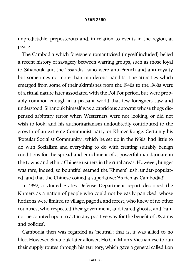unpredictable, preposterous and, in relation to events in the region, at peace.

The Cambodia which foreigners romanticised (myself included) belied a recent history of savagery between warring groups, such as those loyal to Sihanouk and the 'Issaraks', who were anti-French and anti-royalty but sometimes no more than murderous bandits. The atrocities which emerged from some of their skirmishes from the 1940s to the 1960s were of a ritual nature later associated with the Pol Pot period, but were probably common enough in a peasant world that few foreigners saw and understood. Sihanouk himself was a capricious autocrat whose thugs dispensed arbitrary terror when Westerners were not looking, or did not wish to look; and his authoritarianism undoubtedly contributed to the growth of an extreme Communist party, or Khmer Rouge. Certainly his 'Popular Socialist Community', which he set up in the 1950s, had little to do with Socialism and everything to do with creating suitably benign conditions for the spread and enrichment of a powerful mandarinate in the towns and ethnic Chinese usurers in the rural areas. However, hunger was rare; indeed, so bountiful seemed the Khmers' lush, under-populated land that the Chinese coined a superlative: 'As rich as Cambodia!'

In 1959, a United States Defense Department report described the Khmers as a nation of people who could not be easily panicked, whose horizons were limited to village, pagoda and forest, who knew of no other countries, who respected their government, and feared ghosts, and 'cannot be counted upon to act in any positive way for the benefit of US aims and policies'.

Cambodia then was regarded as 'neutral'; that is, it was allied to no bloc. However, Sihanouk later allowed Ho Chi Minh's Vietnamese to run their supply routes through his territory, which gave a general called Lon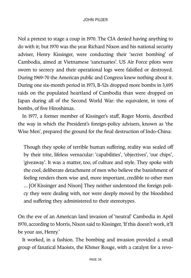Nol a pretext to stage a coup in 1970. The CIA denied having anything to do with it; but 1970 was the year Richard Nixon and his national security adviser, Henry Kissinger, were conducting their 'secret bombing' of Cambodia, aimed at Vietnamese 'sanctuaries'. US Air Force pilots were sworn to secrecy and their operational logs were falsified or destroyed. During 1969-70 the American public and Congress knew nothing about it. During one six-month period in 1973, B-52s dropped more bombs in 3,695 raids on the populated heartland of Cambodia than were dropped on Japan during all of the Second World War: the equivalent, in tons of bombs, of five Hiroshimas.

In 1977, a former member of Kissinger's staff, Roger Morris, described the way in which the President's foreign-policy advisers, known as 'the Wise Men', prepared the ground for the final destruction of Indo-China:

Though they spoke of terrible human suffering, reality was sealed off by their trite, lifeless vernacular: 'capabilities', 'objectives', 'our chips', 'giveaway'. It was a matter, too, of culture and style. They spoke with the cool, deliberate detachment of men who believe the banishment of feeling renders them wise and, more important, credible to other men ... [Of Kissinger and Nixon] They neither understood the foreign policy they were dealing with, nor were deeply moved by the bloodshed and suffering they administered to their stereotypes.

On the eve of an American land invasion of 'neutral' Cambodia in April 1970, according to Morris, Nixon said to Kissinger, 'If this doesn't work, it'll be your ass, Henry.'

It worked, in a fashion. The bombing and invasion provided a small group of fanatical Maoists, the Khmer Rouge, with a catalyst for a revo-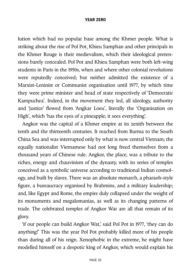lution which bad no popular base among the Khmer people. What is striking about the rise of Pol Pot, Khieu Samphan and other principals in the Khmer Rouge is their medievalism, which their ideological pretensions barely concealed. Pol Pot and Khieu Samphan were both left-wing students in Paris in the 1950s, when and where other colonial revolutions were reputedly conceived; but neither admitted the existence of a Marxist-Leninist or Communist organisation until 1977, by which time they were prime minister and head of state respectively of 'Democratic Kampuchea'. Indeed, in the movement they led, all ideology, authority and 'justice' flowed from 'Angkar Loeu', literally the 'Organisation on High', which 'has the eyes of a pineapple; it sees everything'.

Angkor was the capital of a Khmer empire at its zenith between the tenth and the thirteenth centuries. It reached from Burma to the South China Sea and was interrupted only by what is now central Vietnam; the equally nationalist Vietnamese had not long freed themselves from a thousand years of Chinese rule. Angkor, the place, was a tribute to the riches, energy and chauvinism of the dynasty, with its series of temples conceived as a symbolic universe according to traditional Indian cosmology, and built by slaves. There was an absolute monarch, a pharaoh-style figure, a bureaucracy organised by Brahmins, and a military leadership; and, like Egypt and Rome, the empire duly collapsed under the weight of its monuments and megalomanias, as well as its changing patterns of trade. The celebrated temples of Angkor War are all that remain of its glory.

'if our people can build Angkor Wat,' said Pol Pot in 1977, 'they can do anything!' This was the year Pol Pot probably killed more of his people than during all of his reign. Xenophobic in the extreme, he might have modelled himself on a despotic king of Angkor, which would explain his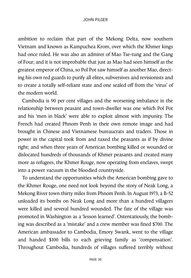ambition to reclaim that part of the Mekong Delta, now southern Vietnam and known as Kampuchea Krom, over which the Khmer kings had once ruled. He was also an admirer of Mao Tse-tung and the Gang of Four; and it is not improbable that just as Mao had seen himself as the greatest emperor of China, so Pol Pot saw himself as another Mao, directing his own red guards to purify all elites, subversives and revisionists and to create a totally self-reliant state and one sealed off from the 'virus' of the modern world.

Cambodia is 90 per cent villages and the worsening imbalance in the relationship between peasant and town-dweller was one which Pol Pot and his 'men in black' were able to exploit almost with impunity. The French had created Phnom Penh in their own remote image and had brought in Chinese and Vietnamese bureaucrats and traders. Those in power in the capital took from and taxed the peasants as if by divine right; and when three years of American bombing killed or wounded or dislocated hundreds of thousands of Khmer peasants and created many more as refugees, the Khmer Rouge, now operating from enclaves, swept into a power vacuum in the bloodied countryside.

To understand the opportunities which the American bombing gave to the Khmer Rouge, one need not look beyond the story of Neak Long, a Mekong River town thirty miles from Phnom Penh. In August 1973, a B-52 unloaded its bombs on Neak Long and more than a hundred villagers were killed and several hundred wounded. The fate of the village was promoted in Washington as a 'lesson learned'. Ostentatiously, the bombing was described as a 'mistake' and a crew member was fined \$700. The American ambassador to Cambodia, Emory Swank, went to the village and handed \$100 bills to each grieving family as 'compensation'. Throughout Cambodia, hundreds of villages suffered terribly without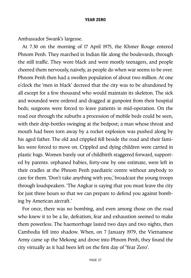Ambassador Swank's largesse.

At 7.30 on the morning of 17 April 1975, the Khmer Rouge entered Phnom Penh. They marched in Indian file along the boulevards, through the still traffic. They wore black and were mostly teenagers, and people cheered them nervously, naively, as people do when war seems to be over. Phnom Penh then had a swollen population of about two million. At one o'clock the 'men in black' decreed that the city was to be abandoned by all except for a few thousand who would maintain its skeleton. The sick and wounded were ordered and dragged at gunpoint from their hospital beds; surgeons were forced to leave patients in mid-operation. On the road out through the suburbs a procession of mobile beds could be seen, with their drip-bottles swinging at the bedpost; a man whose throat and mouth had been torn away by a rocket explosion was pushed along by his aged father. The old and crippled fell beside the road and their families were forced to move on. Crippled and dying children were carried in plastic bags. Women barely out of childbirth staggered forward, supported by parents. orphaned babies, forty-one by one estimate, were left in their cradles at the Phnom Penh paediatric centre without anybody to care for them. 'Don't take anything with you,' broadcast the young troops through loudspeakers. 'The Angkar is saying that you must leave the city for just three hours so that we can prepare to defend you against bombing by American aircraft.'

For once, there was no bombing, and even among those on the road who knew it to be a lie, defeatism, fear and exhaustion seemed to make them powerless. The haemorrhage lasted two days and two nights, then Cambodia fell into shadow. When, on 7 January 1979, the Vietnamese Army came up the Mekong and drove into Phnom Penh, they found the city virtually as it had been left on the first day of 'Year Zero'.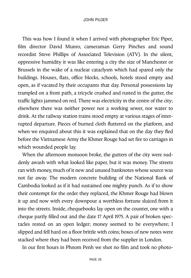This was how I found it when I arrived with photographer Eric Piper, film director David Munro, cameraman Gerry Pinches and sound recordist Steve Phillips of Associated Television (ATV). In the silent, oppressive humidity it was like entering a city the size of Manchester or Brussels in the wake of a nuclear cataclysm which had spared only the buildings. Houses, flats, office blocks, schools, hotels stood empty and open, as if vacated by their occupants that day. Personal possessions lay trampled on a front path, a tricycle crushed and rusted in the gutter, the traffic lights jammed on red. There was electricity in the centre of the city; elsewhere there was neither power nor a working sewer, nor water to drink. At the railway station trains stood empty at various stages of interrupted departure. Pieces of burned cloth fluttered on the platform, and when we enquired about this it was explained that on the day they fled before the Vietnamese Army the Khmer Rouge had set fire to carriages in which wounded people lay.

When the afternoon monsoon broke, the gutters of the city were suddenly awash with what looked like paper, but it was money. The streets ran with money, much of it new and unused banknotes whose source was not far away. The modern concrete building of the National Bank of Cambodia looked as if it had sustained one mighty punch. As if to show their contempt for the order they replaced, the Khmer Rouge had blown it up and now with every downpour a worthless fortune sluiced from it into the streets. Inside, chequebooks lay open on the counter, one with a cheque partly filled out and the date 17 April 1975. A pair of broken spectacles rested on an open ledger; money seemed to be everywhere; I slipped and fell hard on a floor brittle with coins; boxes of new notes were stacked where they had been received from the supplier in London.

In our first hours in Phnom Penh we shot no film and took no photo-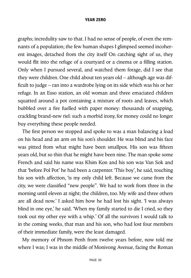graphs; incredulity saw to that. I had no sense of people, of even the remnants of a population; the few human shapes I glimpsed seemed incoherent images, detached from the city itself On catching sight of us, they would flit into the refuge of a courtyard or a cinema or a filling station. Only when I pursued several, and watched them forage, did I see that they were children. One child about ten years old – although age was difficult to judge – ran into a wardrobe lying on its side which was his or her refuge. In an Esso station, an old woman and three emaciated children squatted around a pot containing a mixture of roots and leaves, which bubbled over a fire fuelled with paper money: thousands of snapping, crackling brand-new riel: such a morbid irony, for money could no longer buy everything these people needed.

The first person we stopped and spoke to was a man balancing a load on his head and an arm on his son's shoulder. He was blind and his face was pitted from what might have been smallpox. His son was fifteen years old, but so thin that he might have been nine. The man spoke some French and said his name was Khim Kon and his son was Van Sok and that 'before Pol Pot' he had been a carpenter. 'This boy', he said, touching his son with affection, 'is my only child left. Because we came from the city, we were classified "new people". We had to work from three in the morning until eleven at night; the children, too. My wife and three others are all dead now.' I asked him how he had lost his sight. 'I was always blind in one eye,' he said. 'When my family started to die I cried, so they took out my other eye with a whip.' Of all the survivors I would talk to in the coming weeks, that man and his son, who had lost four members of their immediate family, were the least damaged.

My memory of Phnom Penh from twelve years before, now told me where I was; I was in the middle of Monivong Avenue, facing the Roman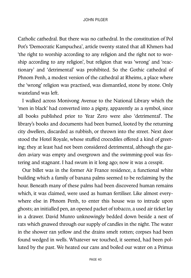Catholic cathedral. But there was no cathedral. In the constitution of Pol Pot's 'Democratic Kampuchea', article twenty stated that all Khmers had 'the right to worship according to any religion and the right not to worship according to any religion', but religion that was 'wrong' and 'reactionary' and 'detrimental' was prohibited. So the Gothic cathedral of Phnom Penh, a modest version of the cathedral at Rheims, a place where the 'wrong' religion was practised, was dismantled, stone by stone. Only wasteland was left.

I walked across Monivong Avenue to the National Library which the 'men in black' had converted into a pigsty, apparently as a symbol, since all books published prior to Year Zero were also 'detrimental'. The library's books and documents had been burned, looted by the returning city dwellers, discarded as rubbish, or thrown into the street. Next door stood the Hotel Royale, whose stuffed crocodiles offered a kind of greeting; they at least had not been considered detrimental, although the garden aviary was empty and overgrown and the swimming-pool was festering and stagnant. I had swum in it long ago; now it was a cesspit.

Our billet was in the former Air France residence, a functional white building which a family of banana palms seemed to be reclaiming by the hour. Beneath many of these palms had been discovered human remains which, it was claimed, were used as human fertiliser. Like almost everywhere else in Phnom Penh, to enter this house was to intrude upon ghosts; an initialled pen, an opened packet of tobacco, a used air ticket lay in a drawer. David Munro unknowingly bedded down beside a nest of rats which gnawed through our supply of candles in the night. The water in the shower ran yellow and the drains smelt rotten; corpses had been found wedged in wells. Whatever we touched, it seemed, had been polluted by the past. We heated our cans and boiled our water on a Primus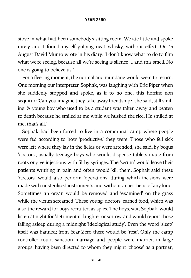stove in what had been somebody's sitting room. We ate little and spoke rarely and I found myself gulping neat whisky, without effect. On 15 August David Munro wrote in his diary: 'I don't know what to do to film what we're seeing, because all we're seeing is silence ... and this smell. No one is going to believe us.'

For a fleeting moment, the normal and mundane would seem to return. One morning our interpreter, Sophak, was laughing with Eric Piper when she suddenly stopped and spoke, as if to no one, this horrific non sequitur: 'Can you imagine they take away friendship?' she said, still smiling. 'A young boy who used to be a student was taken away and beaten to death because he smiled at me while we husked the rice. He smiled at me, that's all.'

Sophak had been forced to live in a communal camp where people were fed according to how 'productive' they were. Those who fell sick were left where they lay in the fields or were attended, she said, by bogus 'doctors', usually teenage boys who would dispense tablets made from roots or give injections with filthy syringes. The 'serum' would leave their patients writhing in pain and often would kill them. Sophak said these 'doctors' would also perform 'operations' during which incisions were made with unsterilised instruments and without anaesthetic of any kind. Sometimes an organ would be removed and 'examined' on the grass while the victim screamed. These young 'doctors' earned food, which was also the reward for boys recruited as spies. The boys, said Sopbak, would listen at night for 'detrimental' laughter or sorrow, and would report those falling asleep during a midnight 'ideological study'. Even the word 'sleep' itself was banned; from Year Zero there would be 'rest'. Only the camp controller could sanction marriage and people were married in large groups, having been directed to whom they might 'choose' as a partner;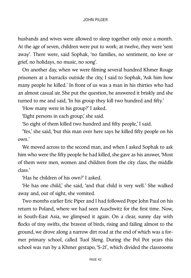husbands and wives were allowed to sleep together only once a month. At the age of seven, children were put to work; at twelve, they were 'sent away'. There were, said Sophak, 'no families, no sentiment, no love or grief, no holidays, no music, no song'.

On another day, when we were filming several hundred Khmer Rouge prisoners at a barracks outside the city, I said to Sophak, 'Ask him how many people he killed.' In front of us was a man in his thirties who had an almost casual air. She put the question, he answered it briskly and she turned to me and said, 'In his group they kill two hundred and fifty.'

'How many were in his group?' I asked.

'Eight persons in each group,' she said.

'So eight of them killed two hundred and fifty people,' I said.

'Yes,' she said, 'but this man over here says he killed fifty people on his own.'

We moved across to the second man, and when I asked Sophak to ask him who were the fifty people he had killed, she gave as his answer, 'Most of them were men, women and children from the city class, the middle class.'

'Has he children of his own?' I asked.

'He has one child,' she said, 'and that child is very well.' She walked away and, out of sight, she vomited.

Two months earlier Eric Piper and I had followed Pope John Paul on his return to Poland, where we had seen Auschwitz for the first time. Now, in South-East Asia, we glimpsed it again. On a clear, sunny day with flocks of tiny swifts, the bravest of birds, rising and failing almost to the ground, we drove along a narrow dirt road at the end of which was a former primary school, called Tuol Sleng. During the Pol Pot years this school was run by a Khmer gestapo, 'S-21', which divided the classrooms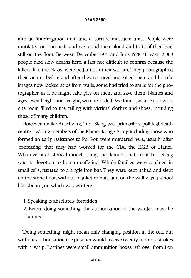into an 'interrogation unit' and a 'torture massacre unit'. People were mutilated on iron beds and we found their blood and tufts of their hair still on the floor. Between December 1975 and June 1978 at least 12,000 people died slow deaths here. a fact not difficult to confirm because the killers, like the Nazis, were pedantic in their sadism. They photographed their victims before and after they tortured and killed them and horrific images now looked at us from walls; some had tried to smile for the photographer, as if be might take pity on them and save them. Names and ages, even height and weight, were recorded. We found, as at Auschwitz, one room filled to the ceiling with victims' clothes and shoes, including those of many children.

However, unlike Auschwitz, Tuol Sleng was primarily a political death centre. Leading members of the Khmer Rouge Army, including those who formed an early resistance to Pol Pot, were murdered here, usually after 'confessing' that they had worked for the CIA, the KGB or Hanoi. Whatever its historical model, if any, the demonic nature of Tuol Sleng was its devotion to human suffering. Whole families were confined in small cells, fettered to a single iron bar. They were kept naked and slept on the stone floor, without blanket or mat, and on the wall was a school blackboard, on which was written:

1. Speaking is absolutely forbidden

2. Before doing something, the authorisation of the warden must be obtained.

'Doing something' might mean only changing position in the cell, but without authorisation the prisoner would receive twenty to thirty strokes with a whip. Latrines were small ammunition boxes left over from Lon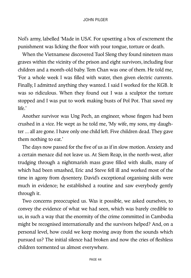Nol's army, labelled 'Made in USA'. For upsetting a box of excrement the punishment was licking the floor with your tongue, torture or death.

When the Vietnamese discovered Tuol Sleng they found nineteen mass graves within the vicinity of the prison and eight survivors, including four children and a month-old baby. Tem Chan was one of them. He told me, 'For a whole week I was filled with water, then given electric currents. Finally, I admitted anything they wanted. I said I worked for the KGB. It was so ridiculous. When they found out I was a sculptor the torture stopped and I was put to work making busts of Pol Pot. That saved my life.'

Another survivor was Ung Pech, an engineer, whose fingers had been crushed in a vice. He wept as he told me, 'My wife, my sons, my daughter ... all are gone. I have only one child left. Five children dead. They gave them nothing to eat.'

The days now passed for the five of us as if in slow motion. Anxiety and a certain menace did not leave us. At Siem Reap, in the north-west, after trudging through a nightmarish mass grave filled with skulls, many of which had been smashed, Eric and Steve fell ill and worked most of the time in agony from dysentery. David's exceptional organising skills were much in evidence; he established a routine and saw everybody gently through it.

Two concerns preoccupied us. Was it possible, we asked ourselves, to convey the evidence of what we had seen, which was barely credible to us, in such a way that the enormity of the crime committed in Cambodia might be recognised internationally and the survivors helped? And, on a personal level, how could we keep moving away from the sounds which pursued us? The initial silence had broken and now the cries of fleshless children tormented us almost everywhere.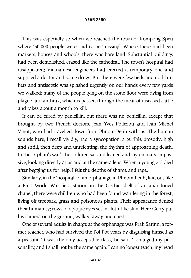This was especially so when we reached the town of Kompong Speu where 150,000 people were said to be 'missing'. Where there had been markets, houses and schools, there was bare land. Substantial buildings had been demolished, erased like the cathedral. The town's hospital had disappeared; Vietnamese engineers had erected a temporary one and supplied a doctor and some drugs. But there were few beds and no blankets and antiseptic was splashed urgently on our hands every few yards we walked; many of the people lying on the stone floor were dying from plague and anthrax, which is passed through the meat of diseased cattle and takes about a month to kill.

It can be cured by penicillin, but there was no penicillin, except that brought by two French doctors, Jean Yves Follezou and Jean Michel Vinot, who had travelled down from Phnom Penh with us. The human sounds here, I recall vividly, had a syncopation, a terrible prosody: high and shrill, then deep and unrelenting, the rhythm of approaching death. In the 'orphan's war', the children sat and leaned and lay on mats, impassive, looking directly at us and at the camera lens. When a young girl died after begging us for help, I felt the depths of shame and rage.

Similarly, in the 'hospital' of an orphanage in Phnom Penh, laid out like a First World War field station in the Gothic shell of an abandoned chapel, there were children who had been found wandering in the forest, living off treebark, grass and poisonous plants. Their appearance denied their humanity; rows of opaque eyes set in cloth-like skin. Here Gerry put his camera on the ground, walked away and cried.

One of several adults in charge at the orphanage was Prak Sarinn, a former teacher, who had survived the Pol Pot years by disguising himself as a peasant. 'It was the only acceptable class,' he said. 'I changed my personality, and I shall not be the same again. I can no longer teach; my head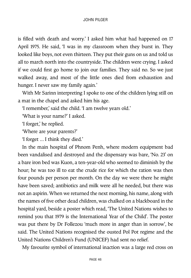is filled with death and worry.' I asked him what had happened on 17 April 1975. He said, 'I was in my classroom when they burst in. They looked like boys, not even thirteen. They put their guns on us and told us all to march north into the countryside. The children were crying. I asked if we could first go home to join our families. They said no. So we just walked away, and most of the little ones died from exhaustion and hunger. I never saw my family again.'

With Mr Sarinn interpreting I spoke to one of the children lying still on a mat in the chapel and asked him his age.

'I remember,' said the child. 'I am twelve years old.'

'What is your name?' I asked.

'I forget,' he replied.

'Where are your parents?'

'I forget ... I think they died.'

In the main hospital of Phnom Penh, where modern equipment bad been vandalised and destroyed and the dispensary was bare, 'No. 23' on a bare iron bed was Kuon, a ten-year-old who seemed to diminish by the hour; he was too ill to eat the crude rice for which the ration was then four pounds per person per month. On the day we were there he might have been saved; antibiotics and milk were all he needed, but there was not an aspirin. When we returned the next morning, his name, along with the names of five other dead children, was chalked on a blackboard in the hospital yard, beside a poster which read, 'The United Nations wishes to remind you that 1979 is the International Year of the Child'. The poster was put there by Dr Follezou 'much more in anger than in sorrow', be said. The United Nations recognised the ousted Pol Pot regime and the United Nations Children's Fund (UNICEF) had sent no relief.

My favourite symbol of international inaction was a large red cross on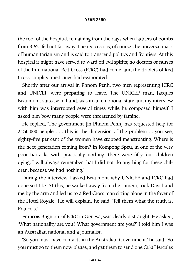the roof of the hospital, remaining from the days when ladders of bombs from B-52s fell not far away. The red cross is, of course, the universal mark of humanitarianism and is said to transcend politics and frontiers. At this hospital it might have served to ward off evil spirits; no doctors or nurses of the International Red Cross (ICRC) had come, and the driblets of Red Cross-supplied medicines had evaporated.

Shortly after our arrival in Phnom Penh, two men representing ICRC and UNICEF were preparing to leave. The UNICEF man, Jacques Beaumont, suitcase in hand, was in an emotional state and my interview with him was interrupted several times while he composed himself. I asked him bow many people were threatened by famine.

He replied, 'The government [in Phnom Penh] has requested help for 2,250,000 people . . . this is the dimension of the problem ... you see, eighty-five per cent of the women have stopped menstruating. Where is the next generation coming from? In Kompong Speu, in one of the very poor barracks with practically nothing, there were fifty-four children dying. I will always remember that I did not do anything for these children, because we had nothing.'

During the interview I asked Beaumont why UNICEF and ICRC had done so little. At this, he walked away from the camera, took David and me by the arm and led us to a Red Cross man sitting alone in the foyer of the Hotel Royale. 'He will explain,' he said. 'Tell them what the truth is, Francois.'

Francois Bugnion, of ICRC in Geneva, was clearly distraught. He asked, 'What nationality are you? What government are you?' I told him I was an Australian national and a journalist.

'So you must have contacts in the Australian Government,' he said. 'So you must go to them now please, and get them to send one C130 Hercules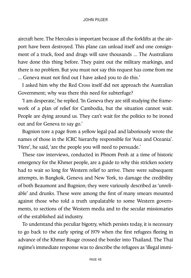aircraft here. The Hercules is important because all the forklifts at the airport have been destroyed. This plane can unload itself and one consignment of a truck, food and drugs will save thousands ... The Australians have done this thing before. They paint out the military markings, and there is no problem. But you must not say this request has come from me ... Geneva must not find out I have asked you to do this.'

I asked him why the Red Cross itself did not approach the Australian Government; why was there this need for subterfuge?

'I am desperate,' he replied. 'In Geneva they are still studying the framework of a plan of relief for Cambodia, but the situation cannot wait. People are dying around us. They can't wait for the politics to be ironed out and for Geneva to say go.'

Bugnion tore a page from a yellow legal pad and laboriously wrote the names of those in the ICRC hierarchy responsible for 'Asia and Oceania'. 'Here', he said, 'are the people you will need to persuade.'

These raw interviews, conducted in Phnom Penh at a time of historic emergency for the Khmer people, are a guide to why this stricken society had to wait so long for Western relief to arrive. There were subsequent attempts, in Bangkok, Geneva and New York, to damage the credibility of both Beaumont and Bugnion; they were variously described as 'unreliable' and drunks. These were among the first of many smears mounted against those who told a truth unpalatable to some Western governments, to sections of the Western media and to the secular missionaries of the established aid industry.

To understand this peculiar bigotry, which persists today, it is necessary to go back to the early spring of 1979 when the first refugees fleeing in advance of the Khmer Rouge crossed the border into Thailand. The Thai regime's immediate response was to describe the refugees as 'illegal immi-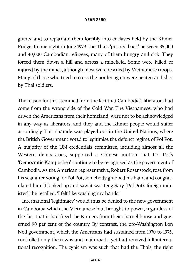grants' and to repatriate them forcibly into enclaves held by the Khmer Rouge. In one night in June 1979, the Thais 'pushed back' between 35,000 and 40,000 Cambodian refugees, many of them hungry and sick. They forced them down a hill and across a minefield. Some were killed or injured by the mines, although most were rescued by Vietnamese troops. Many of those who tried to cross the border again were beaten and shot by Thai soldiers.

The reason for this stemmed from the fact that Cambodia's liberators had come from the wrong side of the Cold War. The Vietnamese, who had driven the Americans from their homeland, were not to be acknowledged in any way as liberators, and they and the Khmer people would suffer accordingly. This charade was played out in the United Nations, where the British Government voted to legitimise the defunct regime of Pol Pot. A majority of the UN credentials committee, including almost all the Western democracies, supported a Chinese motion that Pol Pot's 'Democratic Kampuchea' continue to be recognised as the government of Cambodia. As the American representative, Robert Rosenstock, rose from his seat after voting for Pol Pot, somebody grabbed his band and congratulated him. 'I looked up and saw it was Ieng Sary [Pol Pot's foreign minister],' he recalled. 'I felt like washing my hands.'

International 'legitimacy' would thus be denied to the new government in Cambodia which the Vietnamese had brought to power, regardless of the fact that it had freed the Khmers from their charnel house and governed 90 per cent of the country. By contrast, the pro-Washington Lon Noll government, which the Americans had sustained from 1970 to 1975, controlled only the towns and main roads, yet had received full international recognition. The cynicism was such that had the Thais, the right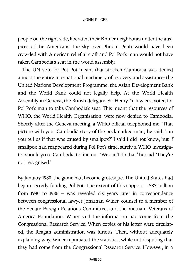people on the right side, liberated their Khmer neighbours under the auspices of the Americans, the sky over Phnom Penh would have been crowded with American relief aircraft and Pol Pot's man would not have taken Cambodia's seat in the world assembly.

The UN vote for Pot Pot meant that stricken Cambodia was denied almost the entire international machinery of recovery and assistance: the United Nations Development Programme, the Asian Development Bank and the World Bank could not legally help. At the World Health Assembly in Geneva, the British delegate, Sir Henry Yellowlees, voted for Pol Pot's man to take Cambodia's seat. This meant that the resources of WHO, the World Health Organisation, were now denied to Cambodia. Shortly after the Geneva meeting, a WHO official telephoned me. 'That picture with your Cambodia story of the pockmarked man,' he said, 'can you tell us if that was caused by smallpox?' I said I did not know, but if smallpox had reappeared during Pol Pot's time, surely a WHO investigator should go to Cambodia to find out. 'We can't do that,' he said. 'They're not recognised.'

By January 1980, the game had become grotesque. The United States had begun secretly funding Pol Pot. The extent of this support – \$8S million from 1980 to 1986 – was revealed six years later in correspondence between congressional lawyer Jonathan Winer, counsel to a member of the Senate Foreign Relations Committee, and the Vietnam Veterans of America Foundation. Winer said the information had come from the Congressional Research Service. When copies of his letter were circulated, the Reagan administration was furious. Then, without adequately explaining why, Winer repudiated the statistics, while not disputing that they had come from the Congressional Research Service. However, in a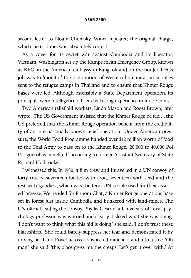second letter to Noam Chomsky, Winer repeated the original charge, which, he told me, was 'absolutely correct'.

As a cover for its secret war against Cambodia and its liberator, Vietnam, Washington set up the Kampuchean Emergency Group, known as KEG, in the American embassy in Bangkok and on the border. KEGs job was to 'monitor' the distribution of Western humanitarian supplies sent to the refugee camps in Thailand and to ensure that Khmer Rouge bases were fed. Although ostensibly a State Department operation, its principals were intelligence officers with long experience in Indo-China.

Two American relief aid workers, Linda Mason and Roger Brown, later wrote, 'The US Government insisted that the Khmer Rouge be fed ... the US preferred that the Khmer Rouge operation benefit from the credibility of an internationally known relief operation.' Under American pressure, the World Food Programme handed over \$12 million worth of food to the Thai Army to pass on to the Khmer Rouge. '20,000 to 40,000 Pol Pot guerrillas benefited,' according to former Assistant Secretary of State Richard Holbrooke.

I witnessed this. In 1980, a film crew and I travelled in a UN convoy of forty trucks, seventeen loaded with food, seventeen with seed and the rest with 'goodies', which was the term UN people used for their assorted largesse. We headed for Phnom Chat, a Khmer Rouge operations base set in forest just inside Cambodia and bunkered with land-mines. The UN official leading the convoy, Phyllis Gestrin, a University of Texas psychology professor, was worried and clearly disliked what she was doing. 'I don't want to think what this aid is doing,' she said. 'I don't trust these blackshirts.' She could barely suppress her fear and demonstrated it by driving her Land Rover across a suspected minefield and into a tree. 'Oh man,' she said, 'this place gives me the creeps. Let's get it over with.' At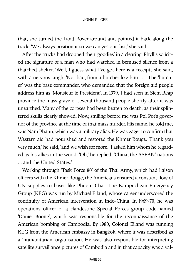that, she turned the Land Rover around and pointed it back along the track. 'We always position it so we can get out fast,' she said.

After the trucks had dropped their 'goodies' in a clearing, Phyllis solicited the signature of a man who had watched in bemused silence from a thatched shelter. 'Well, I guess what I've got here is a receipt,' she said, with a nervous laugh. 'Not bad, from a butcher like him . . .' The 'butcher' was the base commander, who demanded that the foreign aid people address him as 'Monsieur le President'. In 1979, 1 had seen in Siem Reap province the mass grave of several thousand people shortly after it was unearthed. Many of the corpses had been beaten to death, as their splintered skulls clearly showed. Now, smiling before me was Pol Pot's governor of the province at the time of that mass murder. His name, he told me, was Nam Phann, which was a military alias. He was eager to confirm that Western aid had nourished and restored the Khmer Rouge. 'Thank you very much,' he said, 'and we wish for more.' I asked him whom he regarded as his allies in the world. 'Oh,' he replied, 'China, the ASEAN' nations ... and the United States.'

Working through 'Task Force 80' of the Thai Army, which had liaison officers with the Khmer Rouge, the Americans ensured a constant flow of UN supplies to bases like Phnom Chat. The Kampuchean Emergency Group (KEG) was run by Michael Eiland, whose career underscored the continuity of American intervention in Indo-China. In 1969-70, he was operations officer of a clandestine Special Forces group code-named 'Daniel Boone', which was responsible for the reconnaissance of the American bombing of Cambodia. By 1980, Colonel Eiland was running KEG from the American embassy in Bangkok, where it was described as a 'humanitarian' organisation. He was also responsible for interpreting satellite surveillance pictures of Cambodia and in that capacity was a val-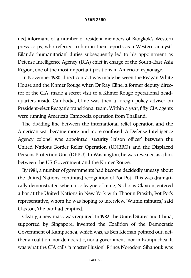ued informant of a number of resident members of Bangkok's Western press corps, who referred to him in their reports as a Western analyst'. Eiland's 'humanitarian' duties subsequently led to his appointment as Defense Intelligence Agency (DIA) chief in charge of the South-East Asia Region, one of the most important positions in American espionage.

In November 1980, direct contact was made between the Reagan White House and the Khmer Rouge when Dr Ray Cline, a former deputy director of the CIA, made a secret visit to a Khmer Rouge operational headquarters inside Cambodia, Cline was then a foreign policy adviser on President-elect Reagan's transitional team. Within a year, fifty CIA agents were running America's Cambodia operation from Thailand.

The dividing line between the international relief operation and the American war became more and more confused. A Defense Intelligence Agency colonel was appointed 'security liaison officer' between the United Nations Border Relief Operation (UNBRO) and the Displaced Persons Protection Unit (DPPU). In Washington, he was revealed as a link between the US Government and the Khmer Rouge.

By 1981, a number of governments had become decidedly uneasy about the United Nations' continued recognition of Pot Pot. This was dramatically demonstrated when a colleague of mine, Nicholas Claxton, entered a bar at the United Nations in New York with Thaoun Prasith, Pot Pot's representative, whom he was hoping to interview. 'Within minutes,' said Claxton, 'the bar had emptied.'

Clearly, a new mask was required. In 1982, the United States and China, supported by Singapore, invented the Coalition of the Democratic Government of Kampuchea, which was, as Ben Kiernan pointed out, neither a coalition, nor democratic, nor a government, nor in Kampuchea. It was what the CIA calls 'a master illusion'. Prince Norodom Sihanouk was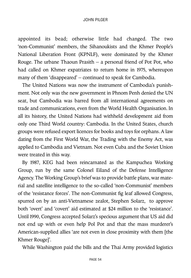appointed its bead; otherwise little had changed. The two 'non-Communist' members, the Sihanoukists and the Khmer People's National Liberation Front (KPNLF), were dominated by the Khmer Rouge. The urbane Thaoun Prasith – a personal friend of Pot Pot, who had called on Khmer expatriates to return home in 1975, whereupon many of them 'disappeared' – continued to speak for Cambodia.

The United Nations was now the instrument of Cambodia's punishment. Not only was the new government in Phnom Penh denied the UN seat, but Cambodia was barred from all international agreements on trade and communications, even from the World Health Organisation. In all its history, the United Nations had withheld development aid from only one Third World country: Cambodia. In the United States, church groups were refused export licences for books and toys for orphans. A law dating from the First World War, the Trading with the Enemy Act, was applied to Cambodia and Vietnam. Not even Cuba and the Soviet Union were treated in this way.

By 1987, KEG had been reincarnated as the Kampuchea Working Group, run by the same Colonel Eiland of the Defense Intelligence Agency. The Working Group's brief was to provide battle plans, war material and satellite intelligence to the so-called 'non-Communist' members of the 'resistance forces'. The non-Communist fig leaf allowed Congress, spurred on by an anti-Vietnamese zealot, Stephen Solarz, to approve both 'overt' and 'covert' aid estimated at \$24 million to the 'resistance'. Until 1990, Congress accepted Solarz's specious argument that US aid did not end up with or even help Pol Pot and that the mass murderer's American-supplied allies 'are not even in close proximity with them [the Khmer Rouge]'.

While Washington paid the bills and the Thai Army provided logistics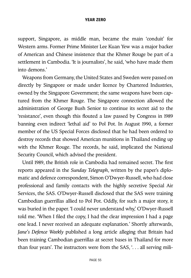support, Singapore, as middle man, became the main 'conduit' for Western arms. Former Prime Minister Lee Kuan Yew was a major backer of American and Chinese insistence that the Khmer Rouge be part of a settlement in Cambodia. 'It is journalists', he said, 'who have made them into demons.'

Weapons from Germany, the United States and Sweden were passed on directly by Singapore or made under licence by Chartered Industries, owned by the Singapore Government; the same weapons have been captured from the Khmer Rouge. The Singapore connection allowed the administration of George Bush Senior to continue its secret aid to the 'resistance', even though this flouted a law passed by Congress in 1989 banning even indirect 'lethal aid' to Pol Pot. In August 1990, a former member of the US Special Forces disclosed that he had been ordered to destroy records that showed American munitions in Thailand ending up with the Khmer Rouge. The records, he said, implicated the National Security Council, which advised the president.

Until 1989, the British role in Cambodia had remained secret. The first reports appeared in the *Sunday Telegraph*, written by the paper's diplomatic and defence correspondent, Simon O'Dwyer-Russell, who had close professional and family contacts with the highly secretive Special Air Services, the SAS. O'Dwyer-Russell disclosed that the SAS were training Cambodian guerrillas allied to Pol Pot. Oddly, for such a major story, it was buried in the paper. 'I could never understand why,' O'Dwyer-Russell told me. 'When I filed the copy, I had the clear impression I had a page one lead. I never received an adequate explanation.' Shortly afterwards, *Jane's Defence Weekly* published a long article alleging that Britain had been training Cambodian guerrillas at secret bases in Thailand for more than four years'. The instructors were from the SAS, '. . . all serving mili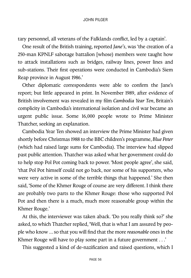tary personnel, all veterans of the Falklands conflict, led by a captain'.

One result of the British training, reported *Jane's*, was 'the creation of a 250-man KPNLF sabotage battalion [whose) members were taught how to attack installations such as bridges, railway lines, power lines and sub-stations. Their first operations were conducted in Cambodia's Siem Reap province in August 1986.'

Other diplomatic correspondents were able to confirm the Jane's report; but little appeared in print. In November 1989, after evidence of British involvement was revealed in my film *Cambodia Year Ten*, Britain's complicity in Cambodia's international isolation and civil war became an urgent public issue. Some 16,000 people wrote to Prime Minister Thatcher, seeking an explanation.

Cambodia Year Ten showed an interview the Prime Minister had given shortly before Christmas 1988 to the BBC children's programme,*Blue Peter* (which had raised large sums for Cambodia). The interview had slipped past public attention. Thatcher was asked what her government could do to help stop Pol Pot coming back to power. 'Most people agree', she said, 'that Pol Pot himself could not go back, nor some of his supporters, who were very active in some of the terrible things that happened.' She then said, 'Some of the Khmer Rouge of course are very different. I think there are probably two parts to the Khmer Rouge: those who supported Pol Pot and then there is a much, much more reasonable group within the Khmer Rouge.'

At this, the interviewer was taken aback. 'Do you really think so?' she asked, to which Thatcher replied, 'Well, that is what I am assured by people who know ... so that you will find that the more *reasonable* ones in the Khmer Rouge will have to play some part in a future government . . .'

This suggested a kind of de-nazification and raised questions, which I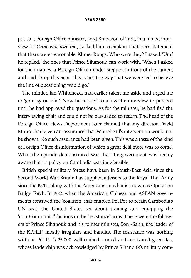put to a Foreign Office minister, Lord Brabazon of Tara, in a filmed interview for *Cambodia Year Ten*, I asked him to explain Thatcher's statement that there were 'reasonable' Khmer Rouge. Who were they? I asked. 'Um,' he replied, 'the ones that Prince Sihanouk can work with. 'When I asked for their names, a Foreign Office minder stepped in front of the camera and said, 'Stop this *now*. This is not the way that we were led to believe the line of questioning would go.'

The minder, Ian Whitehead, had earlier taken me aside and urged me to 'go easy on him'. Now he refused to allow the interview to proceed until he had approved the questions. As for the minister, he had fled the interviewing chair and could not be persuaded to return. The head of the Foreign Office News Department later claimed that my director, David Munro, had given an 'assurance' that Whitehead's intervention would not be shown. No such assurance had been given. This was a taste of the kind of Foreign Office disinformation of which a great deal more was to come. What the episode demonstrated was that the government was keenly aware that its policy on Cambodia was indefensible.

British special military forces have been in South-East Asia since the Second World War. Britain has supplied advisers to the Royal Thai Army since the 1970s, along with the Americans, in what is known as Operation Badge Torch. In 1982, when the American, Chinese and ASEAN governments contrived the 'coalition' that enabled Pol Pot to retain Cambodia's UN seat, the United States set about training and equipping the 'non-Communist' factions in the 'resistance' army. These were the followers of Prince Sihanouk and his former minister, Son -Sann, the leader of the KPNLF, mostly irregulars and bandits. The resistance was nothing without Pol Pot's 25,000 well-trained, armed and motivated guerrillas, whose leadership was acknowledged by Prince Sihanouk's military com-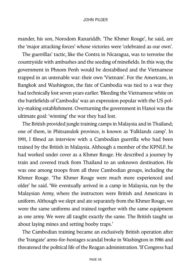mander, his son, Norodom Ranariddh. 'The Khmer Rouge', he said, are the 'major attacking forces' whose victories were 'celebrated as our own'.

The guerrillas' tactic, like the Contra in Nicaragua, was to terrorise the countryside with ambushes and the seeding of minefields. In this way, the government in Phnom Penh would be destabilised and the Vietnamese trapped in an untenable war: their own 'Vietnam'. For the Americans, in Bangkok and Washington, the fate of Cambodia was tied to a war they had technically lost seven years earlier.'Bleeding the Vietnamese white on the battlefields of Cambodia' was an expression popular with the US policy-making establishment. Overturning the government in Hanoi was the ultimate goal: 'winning' the war they had lost.

The British provided jungle training camps in Malaysia and in Thailand; one of them, in Phitsanulok province, is known as 'Falklands camp'. In 1991, I filmed an interview with a Cambodian guerrilla who had been trained by the British in Malaysia. Although a member of the KPNLF, he had worked under cover as a Khmer Rouge. He described a journey by train and covered truck from Thailand to an unknown destination. He was one among troops from all three Cambodian groups, including the Khmer Rouge. 'The Khmer Rouge were much more experienced and older' he said. 'We eventually arrived in a camp in Malaysia, run by the Malaysian Army, where the instructors were British and Americans in uniform.Although we slept and ate separately from the Khmer Rouge,we wore the same uniforms and trained together with the same equipment as one army. We were all taught exactly the same. The British taught us about laying mines and setting booby traps.'

The Cambodian training became an exclusively British operation after the 'Irangate' arms-for-hostages scandal broke in Washington in 1986 and threatened the political life of the Reagan administration. 'If Congress had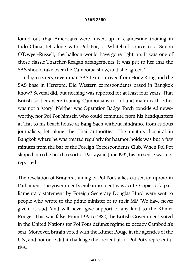found out that Americans were mixed up in clandestine training in Indo-China, let alone with Pol Pot,' a Whitehall source told Simon O'Dwyer-Russell, 'the balloon would have gone right up. It was one of chose classic Thatcher-Reagan arrangements. It was put to her that the SAS should take over the Cambodia show, and she agreed.'

In high secrecy, seven-man SAS teams arrived from Hong Kong and the SAS base in Hereford. Did Western correspondents based in Bangkok know? Several did, but nothing was reported for at least four years. That British soldiers were training Cambodians to kill and maim each other was not a 'story'. Neither was Operation Badge Torch considered newsworthy, nor Pol Pot himself, who could commute from his headquarters at Trat to his beach house at Bang Saen without hindrance from curious journalists, let alone the Thai authorities. The military hospital in Bangkok where he was treated regularly for haemorrhoids was but a few minutes from the bar of the Foreign Correspondents Club. When Pol Pot slipped into the beach resort of Partaya in June 1991, his presence was not reported.

The revelation of Britain's training of Pol Pot's allies caused an uproar in Parliament; the government's embarrassment was acute. Copies of a parliamentary statement by Foreign Secretary Douglas Hurd were sent to people who wrote to the prime minister or to their MP. 'We have never given', it said, 'and will never give support of any kind to the Khmer Rouge.' This was false. From 1979 to 1982, the British Government voted in the United Nations for Pol Pot's defunct regime to occupy Cambodia's seat. Moreover, Britain voted with the Khmer Rouge in the agencies of the UN, and not once did it challenge the credentials of Pol Pot's representative.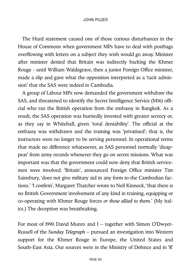The Hurd statement caused one of those curious disturbances in the House of Commons when government MPs have to deal with postbags overflowing with letters on a subject they wish would go away. Minister after minister denied that Britain was indirectly backing the Khmer Rouge - until William Waldegrave, then a junior Foreign Office minister, made a slip and gave what the opposition interpreted as a 'tacit admission' that the SAS were indeed in Cambodia.

A group of Labour MPs now demanded the government withdraw the SAS, and threatened to identify the Secret Intelligence Service (M16) official who ran the British operation from the embassy in Bangkok. As a result, the SAS operation was hurriedly invested with greater secrecy or, as they say in Whitehall, given 'total deniability'. The official at the embassy was withdrawn and the training was 'privatised'; that is, the instructors were no longer to be serving personnel. In operational terms that made no difference whatsoever, as SAS personnel normally 'disappear' from army records whenever they go on secret missions. What was important was that the government could now deny that British servicemen were involved. 'Britain', announced Foreign Office minister Tim Sainsbury, 'does not give military aid in any form to the Cambodian factions.' 'I confirm', Margaret Thatcher wrote to Neil Kinnock, 'that there is no British Government involvement of any kind in training, equipping or co-operating with Khmer Rouge forces *or those allied to them*.' (My italics.) The deception was breathtaking.

For most of 1990 David Munro and I – together with Simon O'Dwyer-Russell of the *Sunday Telegraph* – pursued an investigation into Western support for the Khmer Rouge in Europe, the United States and South-East Asia. Our sources were in the Ministry of Defence and in 'R'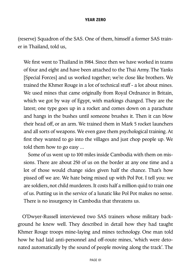(reserve) Squadron of the SAS. One of them, himself a former SAS trainer in Thailand, told us,

We first went to Thailand in 1984. Since then we have worked in teams of four and eight and have been attached to the Thai Army. The Yanks [Special Forces] and us worked together; we're close like brothers. We trained the Khmer Rouge in a lot of technical stuff - a lot about mines. We used mines that came originally from Royal Ordnance in Britain, which we got by way of Egypt, with markings changed. They are the latest; one type goes up in a rocket and comes down on a parachute and hangs in the bushes until someone brushes it. Then it can blow their head off, or an arm. We trained them in Mark 5 rocket launchers and all sorts of weapons. We even gave them psychological training. At first they wanted to go into the villages and just chop people up. We told them how to go easy ...

Some of us went up to 100 miles inside Cambodia with them on missions. There are about 250 of us on the border at any one time and a lot of those would change sides given half the chance. That's how pissed off we are. We hate being mixed up with Pol Pot. I tell you: we are soldiers, not child murderers. It costs half a million quid to train one of us. Putting us in the service of a lunatic like Pol Pot makes no sense. There is no insurgency in Cambodia that threatens us.

O'Dwyer-Russell interviewed two SAS trainers whose military background he knew well. They described in detail how they had taught Khmer Rouge troops mine-laying and mines technology. One man told how he had laid anti-personnel and off-route mines, 'which were detonated automatically by the sound of people moving along the track'. The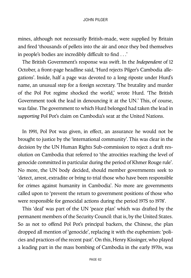mines, although not necessarily British-made, were supplied by Britain and fired 'thousands of pellets into the air and once they bed themselves in people's bodies are incredibly difficult to find . . .'

The British Government's response was swift. In the *Independent* of 12 October, a front-page headline said, 'Hurd rejects Pilger's Cambodia allegations'. Inside, half a page was devoted to a long riposte under Hurd's name, an unusual step for a foreign secretary. 'The brutality and murder of the Pol Pot regime shocked the world,' wrote Hurd. 'The British Government took the lead in denouncing it at the UN.' This, of course, was false. The government to which Hurd belonged had taken the lead in *supporting* Pol Pot's claim on Cambodia's seat at the United Nations.

In 1991, Pol Pot was given, in effect, an assurance he would not be brought to justice by the 'international community'. This was clear in the decision by the UN Human Rights Sub-commission to reject a draft resolution on Cambodia that referred to 'the atrocities reaching the level of genocide committed in particular during the period of Khmer Rouge rule'. No more, the UN body decided, should member governments seek to 'detect, arrest, extradite or bring to trial those who have been responsible for crimes against humanity in Cambodia'. No more are governments called upon to 'prevent the return to government positions of those who were responsible for genocidal actions during the period 197S to 1978'.

This 'deal' was part of the UN 'peace plan' which was drafted by the permanent members of the Security Council: that is, by the United States. So as not to offend Pol Pot's principal backers, the Chinese, the plan dropped all mention of 'genocide', replacing it with the euphemism: 'policies and practices of the recent past'. On this, Henry Kissinger, who played a leading part in the mass bombing of Cambodia in the early 1970s, was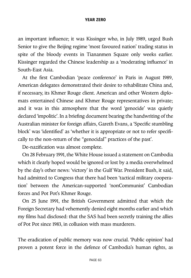an important influence; it was Kissinger who, in July 1989, urged Bush Senior to give the Beijing regime 'most favoured nation' trading status in spite of the bloody events in Tiananmen Square only weeks earlier. Kissinger regarded the Chinese leadership as a 'moderating influence' in South-East Asia.

At the first Cambodian 'peace conference' in Paris in August 1989, American delegates demonstrated their desire to rehabilitate China and, if necessary, its Khmer Rouge client. American and other Western diplomats entertained Chinese and Khmer Rouge representatives in private; and it was in this atmosphere that the word 'genocide' was quietly declared 'impolitic'. In a briefing document bearing the handwriting of the Australian minister for foreign affairs, Gareth Evans, a 'Specific stumbling block' was 'identified' as 'whether it is appropriate or not to refer specifically to the non-return of the "genocidal" practices of the past'.

De-nazification was almost complete.

On 28 February 1991, the White House issued a statement on Cambodia which it clearly hoped would be ignored or lost by a media overwhelmed by the day's other news: 'victory' in the Gulf War. President Bush, it said, had admitted to Congress that there had been 'tactical military cooperation' between the American-supported 'nonCommunist' Cambodian forces and Pot Pot's Khmer Rouge.

On 25 June 1991, the British Government admitted that which the Foreign Secretary had vehemently denied eight months earlier and which my films had disclosed: that the SAS had been secretly training the allies of Pot Pot since 1983, in collusion with mass murderers.

The eradication of public memory was now crucial. 'Public opinion' had proven a potent force in the defence of Cambodia's human rights, as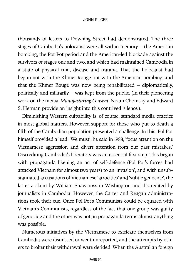thousands of letters to Downing Street had demonstrated. The three stages of Cambodia's holocaust were all within memory – the American bombing, the Pot Pot period and the American-led blockade against the survivors of stages one and two, and which had maintained Cambodia in a state of physical ruin, disease and trauma. That the holocaust had begun not with the Khmer Rouge but with the American bombing, and that the Khmer Rouge was now being rehabilitated – diplomatically, politically and militarily – was kept from the public. (In their pioneering work on the media, *Manufacturing Consent*, Noam Chomsky and Edward S. Herman provide an insight into this contrived 'silence').

Diminishing Western culpability is, of course, standard media practice in most global matters. However, support for those who put to death a fifth of the Cambodian population presented a challenge. In this, Pol Pot himself provided a lead. 'We must', he said in 1988, 'focus attention on the Vietnamese aggression and divert attention from our past mistakes.' Discrediting Cambodia's liberators was an essential first step. This began with propaganda likening an act of self-defence (Pol Pot's forces had attacked Vietnam for almost two years) to an 'invasion', and with unsubstantiated accusations of Vietnamese 'atrocities' and 'subtle genocide', the latter a claim by William Shawcross in Washington and discredited by journalists in Cambodia. However, the Carter and Reagan administrations took their cue. Once Pol Pot's Communists could be equated with Vietnam's Communists, regardless of the fact that one group was guilty of genocide and the other was not, in propaganda terms almost anything was possible.

Numerous initiatives by the Vietnamese to extricate themselves from Cambodia were dismissed or went unreported, and the attempts by others to broker their withdrawal were derided. When the Australian foreign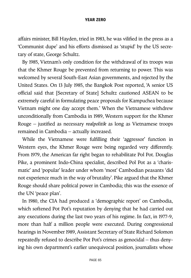affairs minister, Bill Hayden, tried in 1983, he was vilified in the press as a 'Communist dupe' and his efforts dismissed as 'stupid' by the US secretary of state, George Schultz.

By 1985, Vietnam's only condition for the withdrawal of its troops was that the Khmer Rouge be prevented from returning to power. This was welcomed by several South-East Asian governments, and rejected by the United States. On 13 July 1985, the Bangkok Post reported, 'A senior US official said that [Secretary of State] Schultz cautioned ASEAN to be extremely careful in formulating peace proposals for Kampuchea because Vietnam might one day accept them.' When the Vietnamese withdrew unconditionally from Cambodia in 1989, Western support for the Khmer Rouge – justified as necessary *realpolitik* as long as Vietnamese troops remained in Cambodia – actually increased.

While the Vietnamese were fulfilling their 'aggressor' function in Western eyes, the Khmer Rouge were being regarded very differently. From 1979, the American far right began to rehabilitate Pol Pot. Douglas Pike, a prominent Indo-China specialist, described Pol Pot as a 'charismatic' and 'popular' leader under whom 'most' Cambodian peasants 'did not experience much in the way of brutality'. Pike argued that the Khmer Rouge should share political power in Cambodia; this was the essence of the UN 'peace plan'.

In 1980, the CIA had produced a 'demographic report' on Cambodia, which softened Pot Pot's reputation by denying that he had carried out any executions during the last two years of his regime. In fact, in 1977-9, more than half a million people were executed. During congressional hearings in November 1989, Assistant Secretary of State Richard Solomon repeatedly refused to describe Pot Pot's crimes as genocidal – thus denying his own department's earlier unequivocal position, journalists whose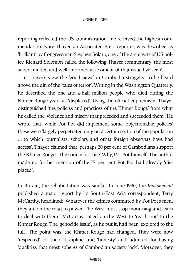reporting reflected the US administration line received the highest commendation. Nate Thayer, an Associated Press reporter, was described as 'brilliant' by Congressman Stephen Solarz, one of the architects of US policy. Richard Solomon called the following Thayer commentary 'the most sober-minded and well-informed assessment of that issue I've seen'.

In Thayer's view the 'good news' in Cambodia struggled to be heard above the din of the 'tales of terror'. Writing in the Washington Quarterly, he described the one-and-a-half million people who died during the Khmer Rouge years as 'displaced'. Using the official euphemism, Thayer distinguished 'the policies and practices of the Khmer Rouge' from what he called the 'violence and misery that preceded and succeeded them'. He wrote that, while Pot Pot did implement some 'objectionable policies' these were 'largely perpetrated only on a certain section of the population ... to which journalists, scholars and other foreign observers have had access'. Thayer claimed that 'perhaps 20 per cent of Cambodians support the Khmer Rouge'. The source for this? Why, Pot Pot himself! The author made no further mention of the IS per cent Pot Pot had already 'displaced'.

In Britain, the rehabilitation was similar. In June 1990, the *Independent* published a major report by its South-East Asia correspondent, Terry McCarthy, headlined: 'Whatever the crimes committed by Pot Pot's men, they are on the road to power. The West must stop moralising and learn to deal with them.' McCarthy called on the West to 'reach out' to the Khmer Rouge. The 'genocide issue', as he put it, had been 'explored to the full'. The point was, the Khmer Rouge had changed. They were now 'respected' for their 'discipline' and 'honesty' and 'admired' for having 'qualities that most spheres of Cambodian society lack'. Moreover, they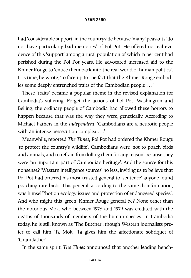had 'considerable support' in the countryside because 'many' peasants 'do not have particularly bad memories' of Pol Pot. He offered no real evidence of this 'support' among a rural population of which 15 per cent had perished during the Pol Pot years. He advocated increased aid to the Khmer Rouge to 'entice them back into the real world of human politics'. It is time, he wrote, 'to face up to the fact that the Khmer Rouge embodies some deeply entrenched traits of the Cambodian people . . .'

These 'traits' became a popular theme in the revised explanation for Cambodia's suffering. Forget the actions of Pol Pot, Washington and Beijing; the ordinary people of Cambodia had allowed these horrors to happen because that was the way they were, genetically. According to Michael Fathers in the *Independent*, 'Cambodians are a neurotic people with an intense persecution complex . . .'

Meanwhile, reported *The Times,* Pol Pot had ordered the Khmer Rouge 'to protect the country's wildlife'. Cambodians were 'not to poach birds and animals, and to refrain from killing them for any reason' because they were 'an important part of Cambodia's heritage'. And the source for this nonsense? 'Western intelligence sources' no less, inviting us to believe that Pol Pot had ordered his most trusted general to 'sentence' anyone found poaching rare birds. This general, according to the same disinformation, was himself 'hot on ecology issues and protection of endangered species'. And who might this 'green' Khmer Rouge general be? None other than the notorious Mok, who between 197S and 1979 was credited with the deaths of thousands of members of the human species. In Cambodia today, he is still known as 'The Butcher', though Western journalists prefer to call him 'Ta Mok'. Ta gives him the affectionate sobriquet of 'Grandfather'.

In the same spirit, *The Times* announced that another leading hench-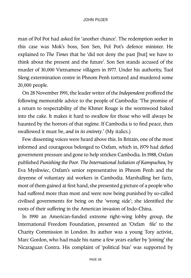man of Pol Pot had asked for 'another chance'. The redemption seeker in this case was Mok's boss, Son Sen, Pol Pot's defence minister. He explained to *The Times* that he 'did not deny the past [but] we have to think about the present and the future'. Son Sen stands accused of the murder of 30,000 Vietnamese villagers in 1977. Under his authority, Tuol Sleng extermination centre in Phnom Penh tortured and murdered some 20,000 people.

On 28 November 1991, the leader writer of the *Independent* proffered the following memorable advice to the people of Cambodia: 'The promise of a return to respectability of the Khmer Rouge is the wormwood baked into the cake. It makes it hard to swallow for those who will always be haunted by the horrors of that regime. If Cambodia is to find peace, then swallowed it must be, *and in its entirety*.' (My italics.)

Few dissenting voices were heard above this. In Britain, one of the most informed and courageous belonged to Oxfam, which in, 1979 had defied government pressure and gone to help stricken Cambodia. In 1988, Oxfam published *Punishing the Poor. The International Isolation of Kampuchea,* by Eva Mysliwiec, Oxfam's senior representative in Phnom Penh and the doyenne of voluntary aid workers in Cambodia. Marshalling her facts, most of them gained at first hand, she presented g picture of a people who had suffered more than most and were now being punished by so-called civilised governments for being on the 'wrong side'; she identified the roots of their suffering in the American invasion of Indo-China.

In 1990 an American-funded extreme right-wing lobby group, the International Freedom Foundation, presented an 'Oxfam file' to the Charity Commission in London. Its author was a young Tory activist, Marc Gordon, who had made his name a few years earlier by 'joining' the Nicaraguan Contra. His complaint of 'political bias' was supported by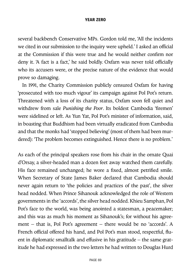several backbench Conservative MPs. Gordon told me, 'All the incidents we cited in our submission to the inquiry were upheld.' I asked an official at the Commission if this were true and he would neither confirm nor deny it. 'A fact is a fact,' he said boldly. Oxfarn was never told officially who its accusers were, or the precise nature of the evidence that would prove so damaging.

In 1991, the Charity Commission publicly censured Oxfam for having 'prosecuted with too much vigour' its campaign against Pol Pot's return. Threatened with a loss of its charity status, Oxfam soon fell quiet and withdrew from sale *Punishing the Poor*. Its boldest Cambodia 'firemen' were sidelined or left. As Yun Yat, Pol Pot's minister of information, said, in boasting that Buddhism had been virtually eradicated from Cambodia and that the monks had 'stopped believing' (most of them had been murdered): 'The problem becomes extinguished. Hence there is no problem.'

As each of the principal speakers rose from his chair in the ornate Quai d'Orsay, a silver-headed man a dozen feet away watched them carefully. His face remained unchanged; he wore a fixed, almost petrified smile. When Secretary of State James Baker declared that Cambodia should never again return to 'the policies and practices of the past', the silver head nodded. When Prince Sihanouk acknowledged the role of Western governments in the 'accords', the silver head nodded. Khieu Samphan, Pol Pot's face to the world, was being anointed a statesman, a peacemaker; and this was as much his moment as Sihanouk's; for without his agreement – that is, Pol Pot's agreement – there would be no 'accords'. A French official offered his hand, and Pol Pot's man stood, respectful, fluent in diplomatic smalltalk and effusive in his gratitude – the same gratitude he had expressed in the two letters he had written to Douglas Hurd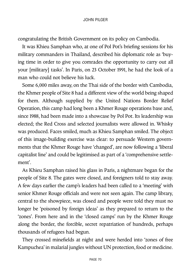congratulating the British Government on its policy on Cambodia.

It was Khieu Samphan who, at one of Pol Pot's briefing sessions for his military commanders in Thailand, described his diplomatic role as 'buying time in order to give you comrades the opportunity to carry out all your [military] tasks'. In Paris, on 23 October 1991, he had the look of a man who could not believe his luck.

Some 6,000 miles away, on the Thai side of the border with Cambodia, the Khmer people of Site 8 had a different view of the world being shaped for them. Although supplied by the United Nations Border Relief Operation, this camp had long been a Khmer Rouge operations base and, since 1988, had been made into a showcase by Pol Pot. Its leadership was elected; the Red Cross and selected journalists were allowed in. Whisky was produced. Faces smiled, much as Khieu Samphan smiled. The object of this image-building exercise was clear: to persuade Western governments that the Khmer Rouge have 'changed', are now following a 'liberal capitalist line' and could be legitimised as part of a 'comprehensive settlement'.

As Khieu Samphan raised his glass in Paris, a nightmare began for the people of Site 8. The gates were closed, and foreigners told to stay away. A few days earlier the camp's leaders had been called to a 'meeting' with senior Khmer Rouge officials and were not seen again. The camp library, central to the showpiece, was closed and people were told they must no longer be 'poisoned by foreign ideas' as they prepared to return to the 'zones'. From here and in the 'closed camps' run by the Khmer Rouge along the border, the forcible, secret repatriation of hundreds, perhaps thousands of refugees had begun.

They crossed minefields at night and were herded into 'zones of free Kampuchea' in malarial jungles without UN protection, food or medicine.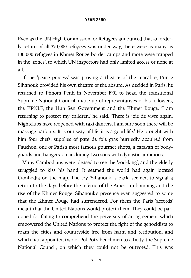Even as the UN High Commission for Refugees announced that an orderly return of all 370,000 refugees was under way, there were as many as 100,000 refugees in Khmer Rouge border camps and more were trapped in the 'zones', to which UN inspectors had only limited access or none at all.

If the 'peace process' was proving a theatre of the macabre, Prince Sihanouk provided his own theatre of the absurd. As decided in Paris, he returned to Phnom Penh in November 1991 to head the transitional Supreme National Council, made up of representatives of his followers, the KPNLF, the Hun Sen Government and the Khmer Rouge. 'I am returning to protect my children,' he said. 'There is joie de vivre again. Nightclubs have reopened with taxi dancers. I am sure soon there will be massage parlours. It is our way of life: it is a good life.' He brought with him four chefs, supplies of pate de foie gras hurriedly acquired from Fauchon, one of Paris's most famous gourmet shops, a caravan of bodyguards and hangers-on, including two sons with dynastic ambitions.

Many Cambodians were pleased to see the 'god-king', and the elderly struggled to kiss his hand. It seemed the world had again located Cambodia on the map. The cry 'Sihanouk is back' seemed to signal a return to the days before the inferno of the American bombing and the rise of the Khmer Rouge. Sihanouk's presence even suggested to some that the Khmer Rouge had surrendered. For them the Paris 'accords' meant that the United Nations would protect them. They could be pardoned for failing to comprehend the perversity of an agreement which empowered the United Nations to protect the right of the genocidists to roam the cities and countryside free from harm and retribution, and which had appointed two of Pol Pot's henchmen to a body, the Supreme National Council, on which they could not be outvoted. This was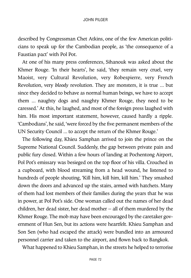described by Congressman Chet Atkins, one of the few American politicians to speak up for the Cambodian people, as 'the consequence of a Faustian pact' with Pol Pot.

At one of his many press conferences, Sihanouk was asked about the Khmer Rouge. 'In their hearts', he said, 'they remain very cruel, very Maoist, very Cultural Revolution, very Robespierre, very French Revolution, very *bloody* revolution. They are monsters, it is true ... but since they decided to behave as normal human beings, we have to accept them ... naughty dogs and naughty Khmer Rouge, they need to be caressed.' At this, he laughed, and most of the foreign press laughed with him. His most important statement, however, caused hardly a ripple. 'Cambodians', he said, 'were forced by the five permanent members of the UN Security Council ... to accept the return of the Khmer Rouge.'

The following day, Khieu Samphan arrived to join the prince on the Supreme National Council. Suddenly, the gap between private pain and public fury closed. Within a few hours of landing at Pochentong Airport, Pol Pot's emissary was besieged on the top floor of his villa. Crouched in a cupboard, with blood streaming from a head wound, he listened to hundreds of people shouting, 'Kill him, kill him, kill him.' They smashed down the doors and advanced up the stairs, armed with hatchets. Many of them had lost members of their families during the years that he was in power, at Pol Pot's side. One woman called out the names of her dead children, her dead sister, her dead mother – all of them murdered by the Khmer Rouge. The mob may have been encouraged by the caretaker government of Hun Sen, but its actions were heartfelt. Khieu Samphan and Son Sen (who had escaped the attack) were bundled into an armoured personnel carrier and taken to the airport, and flown back to Bangkok.

What happened to Khieu Samphan, in the streets he helped to terrorise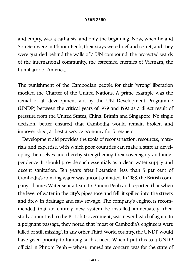### **YEAR ZERO**

and empty, was a catharsis, and only the beginning. Now, when he and Son Sen were in Phnom Penh, their stays were brief and secret, and they were guarded behind the walls of a UN compound, the protected wards of the international community, the esteemed enemies of Vietnam, the humiliator of America.

The punishment of the Cambodian people for their 'wrong' liberation mocked the Charter of the United Nations. A prime example was the denial of all development aid by the UN Development Programme (UNDP) between the critical years of 1979 and 1992 as a direct result of pressure from the United States, China, Britain and Singapore. No single decision. better ensured that Cambodia would remain broken and impoverished, at best a service economy for foreigners.

Development aid provides the tools of reconstruction: resources, materials and expertise, with which poor countries can make a start at developing themselves and thereby strengthening their sovereignty and independence. It should provide such essentials as a clean water supply and decent sanitation. Ten years after liberation, less than 5 per cent of Cambodia's drinking water was uncontaminated. In 1988, the British company Thames Water sent a team to Phnom Penh and reported that when the level of water in the city's pipes rose and fell, it spilled into the streets and drew in drainage and raw sewage. The company's engineers recommended that an entirely new system be installed immediately; their study, submitted to the British Government, was never heard of again. In a poignant passage, they noted that 'most of Cambodia's engineers were killed or still missing'. In any other Third World country, the UNDP would have given priority to funding such a need. When I put this to a UNDP official in Phnom Penh – whose immediate concern was for the state of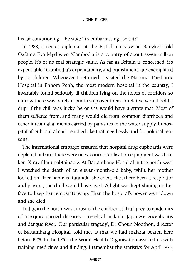his air conditioning – he said: 'It's embarrassing, isn't it?'

In 1988, a senior diplomat at the British embassy in Bangkok told Oxfam's Eva Mysliwiec: 'Cambodia is a country of about seven million people. It's of no real strategic value. As far as Britain is concerned, it's expendable.' Cambodia's expendability, and punishment, are exemplified by its children. Whenever I returned, I visited the National Paediatric Hospital in Phnom Penh, the most modern hospital in the country; I invariably found seriously ill children lying on the floors of corridors so narrow there was barely room to step over them. A relative would hold a drip; if the chili was lucky, he or she would have a straw mat. Most of them suffered from, and many would die from, common diarrhoea and other intestinal ailments carried by parasites in the water supply. In hospital after hospital children died like that, needlessly and for political reasons.

The international embargo ensured that hospital drug cupboards were depleted or bare; there were no vaccines; sterilisation equipment was broken, X-ray film unobtainable. At Battambang Hospital in the north-west I watched the death of an eleven-month-old baby, while her mother looked on. 'Her name is Ratanak,' she cried. Had there been a respirator and plasma, the child would have lived. A light was kept shining on her face to keep her temperature up. Then the hospital's power went down and she died.

Today, in the north-west, most of the children still fall prey to epidemics of mosquito-carried diseases – cerebral malaria, Japanese encephalitis and dengue fever. 'Our particular tragedy', Dr Choun Noothorl, director of Battambang Hospital, told me, 'is that we had malaria beaten here before 1975. In the 1970s the World Health Organisation assisted us with training, medicines and funding. I remember the statistics for April 1975;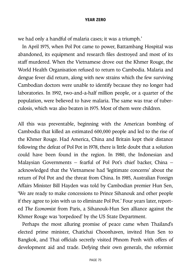### **YEAR ZERO**

we had only a handful of malaria cases; it was a triumph.'

In April 1975, when Pol Pot came to power, Battambang Hospital was abandoned, its equipment and research files destroyed and most of its staff murdered. When the Vietnamese drove out the Khmer Rouge, the World Health Organisation refused to return to Cambodia. Malaria and dengue fever did return, along with new strains which the few surviving Cambodian doctors were unable to identify because they no longer had laboratories. In 1992, two-and-a-half million people, or a quarter of the population, were believed to have malaria. The same was true of tuberculosis, which was also beaten in 1975. Most of them were children.

All this was preventable, beginning with the American bombing of Cambodia that killed an estimated 600,000 people and led to the rise of the Khmer Rouge. Had America, China and Britain kept their distance following the defeat of Pol Pot in 1978, there is little doubt that a solution could have been found in the region. In 1980, the Indonesian and Malaysian Governments – fearful of Pol Pot's chief backer, China – acknowledged that the Vietnamese had 'legitimate concerns' about the return of Pol Pot and the threat from China. In 1985, Australian Foreign Affairs Minister Bill Hayden was told by Cambodian premier Hun Sen, 'We are ready to make concessions to Prince Sihanouk and other people if they agree to join with us to eliminate Pol Pot.' Four years later, reported *The Economist* from Paris, a Sihanouk-Hun Sen alliance against the Khmer Rouge was 'torpedoed' by the US State Department.

Perhaps the most alluring promise of peace came when Thailand's elected prime minister, Chatichai Choonhaven, invited Hun Sen to Bangkok, and Thai officials secretly visited Phnom Penh with offers of development aid and trade. Defying their own generals, the reformist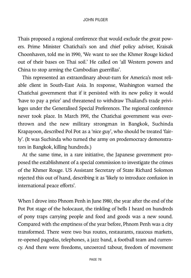#### JOHN PILGER

Thais proposed a regional conference that would exclude the great powers. Prime Minister Chatichai's son and chief policy adviser, Kraisak Choonhaven, told me in 1990, 'We want to see the Khmer Rouge kicked out of their bases on Thai soil.' He called on 'all Western powers and China to stop arming the Cambodian guerrillas'.

This represented an extraordinary about-turn for America's most reliable client in South-East Asia. In response, Washington warned the Chatichai government that if it persisted with its new policy it would 'have to pay a price' and threatened to withdraw Thailand's trade privileges under the Generalised Special Preferences. The regional conference never took place. In March 1991, the Chatichai government was overthrown and the new military strongman in Bangkok, Suchinda Krapayoon, described Pol Pot as a 'nice guy', who should be treated 'fairly'. (It was Suchinda who turned the army on prodemocracy demonstrators in Bangkok, killing hundreds.)

At the same time, in a rare initiative, the Japanese government proposed the establishment of a special commission to investigate the crimes of the Khmer Rouge. US Assistant Secretary of State Richard Solomon rejected this out of hand, describing it as 'likely to introduce confusion in international peace efforts'.

When I drove into Phnom Penh in June 1980, the year after the end of the Pot Pot stage of the holocaust, the tinkling of bells I heard on hundreds of pony traps carrying people and food and goods was a new sound. Compared with the emptiness of the year before, Phnom Penh was a city transformed. There were two bus routes, restaurants, raucous markets, re-opened pagodas, telephones, a jazz band, a football team and currency. And there were freedoms, uncoerced tabour, freedom of movement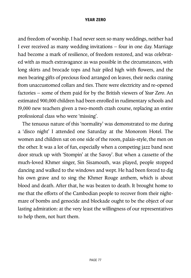### **YEAR ZERO**

and freedom of worship. I had never seen so many weddings, neither had I ever received as many wedding invitations – four in one day. Marriage had become a mark of resilience, of freedom restored, and was celebrated with as much extravagance as was possible in the circumstances, with long skirts and brocade tops and hair piled high with flowers, and the men bearing gifts of precious food arranged on leaves, their necks craning from unaccustomed collars and ties. There were electricity and re-opened factories – some of them paid for by the British viewers of *Year Zero*. An estimated 900,000 children had been enrolled in rudimentary schools and 19,000 new teachers given a two-month crash course, replacing an entire professional class who were 'missing'.

The tenuous nature of this 'normality' was demonstrated to me during a 'disco night' I attended one Saturday at the Monorom Hotel. The women and children sat on one side of the room, palais-style, the men on the other. It was a lot of fun, especially when a competing jazz band next door struck up with 'Stompin' at the Savoy'. But when a cassette of the much-loved Khmer singer, Sin Sisamouth, was played, people stopped dancing and walked to the windows and wept. He had been forced to dig his own grave and to sing the Khmer Rouge anthem, which is about blood and death. After that, he was beaten to death. It brought home to me that the efforts of the Cambodian people to recover from their nightmare of bombs and genocide and blockade ought to be the object of our lasting admiration: at the very least the willingness of our representatives to help them, not hurt them.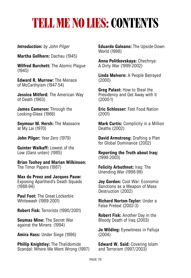# TELL ME NO LIES: CONTENTS

### *Introduction: by John Pilger*

**Martha Gellhorn:** Dachau (1945)

**Wilfred Burchett:** The Atomic Plague (1945)

**Edward R. Murrow:** The Menace of McCarthyism (1947-54)

**Jessica Mitford:** The American Way of Death (1963)

**James Cameron:** Through the Looking-Glass (1966)

**Seymour M. Hersh:** The Massacre at My Lai (1970)

**John Pilger:** Year Zero (1979)

**Guinter Walkaff:** Lowest of the Low (Ganz unten) (1985)

**Brian Toohey and Marian Wilkinson:** The Timor Papers (1987)

**Max du Preez and Jacques Pauw:** Exposing Apartheid's Death Squads (1988-94)

**Paul Foot:** The Great Lockerbie Whitewash (1989-2001)

**Robert Fisk:** Terrorists (1990/2001)

**Seumas Mine:** The Secret War against the Miners: (1994)

**Amira Hass:** Under Siege (1996)

**Phillip Knightley:** The Thalidomide Scandal: Where We Went Wrong (1997) **Eduardo Galeano:** The Upside-Down World (1998)

**Anna Politkovskaya:** Chechnya: A Dirty War (1999-2002)

**Linda Melvern:** A People Betrayed (2000)

**Greg Palast:** How to Steal the Presidency and Get Away with It (2000-1)

**Eric Schlosser:** Fast Food Nation (2001)

**Mark Curtis:** Complicity in a Million Deaths (2002)

**David Armstrong:** Drafting a Plan for Global Dominance (2002)

**Reporting the Truth about Iraq:**  $(1998 - 2003)$ 

**Felicity Arbuthnot:** Iraq: The Unending War (1998-99)

**Joy Gordon:** Cool War: Economic Sanctions as a Weapon of Mass Destruction (2002)

**Richard Norton-Taylor:** Under a False Pretext (2002-3)

**Robert Fisk:** Another Day in the Bloody Death of Iraq (2003)

**Jo Wilding:** Eyewitness in Falluja (2004)

**Edward W. Said:** Covering Islam and Terrorism (1997/2003)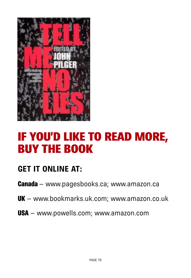

# IF YOU'D LIKE TO READ MORE, BUY THE BOOK

### **GET IT ONLINE AT:**

- **Canada** www.pagesbooks.ca; www.amazon.ca
- UK www.bookmarks.uk.com; www.amazon.co.uk
- **USA** www.powells.com; www.amazon.com